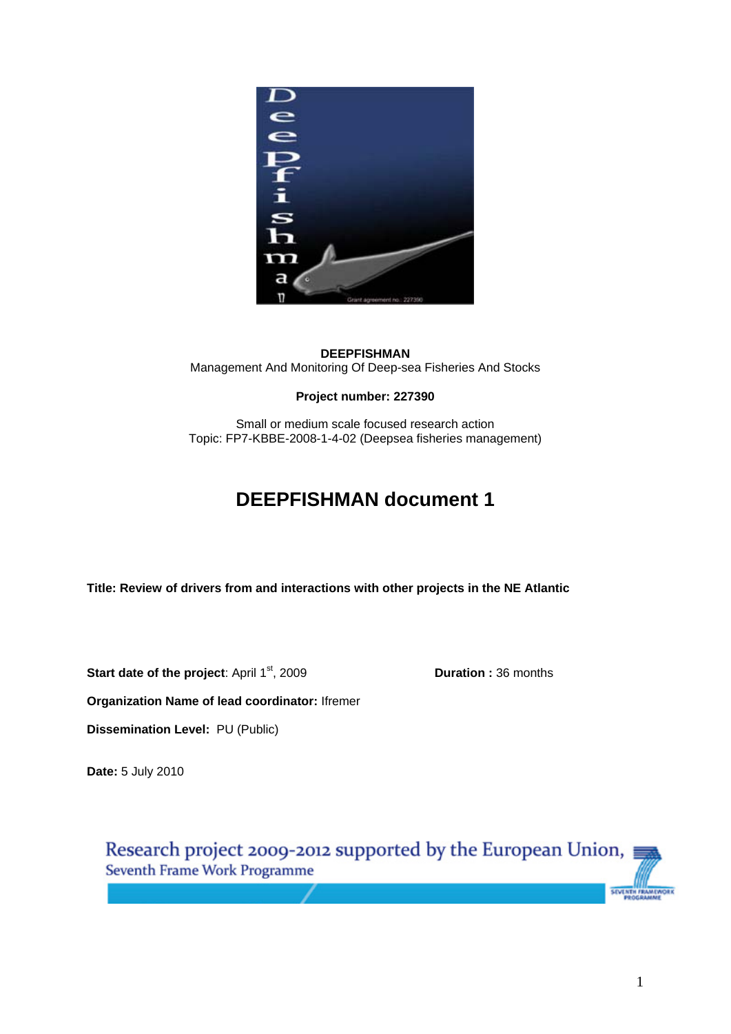

#### **DEEPFISHMAN**  Management And Monitoring Of Deep-sea Fisheries And Stocks

#### **Project number: 227390**

Small or medium scale focused research action Topic: FP7-KBBE-2008-1-4-02 (Deepsea fisheries management)

# **DEEPFISHMAN document 1**

**Title: Review of drivers from and interactions with other projects in the NE Atlantic** 

**Start date of the project:** April 1<sup>st</sup>, 2009 **Duration :** 36 months

**Organization Name of lead coordinator:** Ifremer

**Dissemination Level:** PU (Public)

**Date:** 5 July 2010

Research project 2009-2012 supported by the European Union, Seventh Frame Work Programme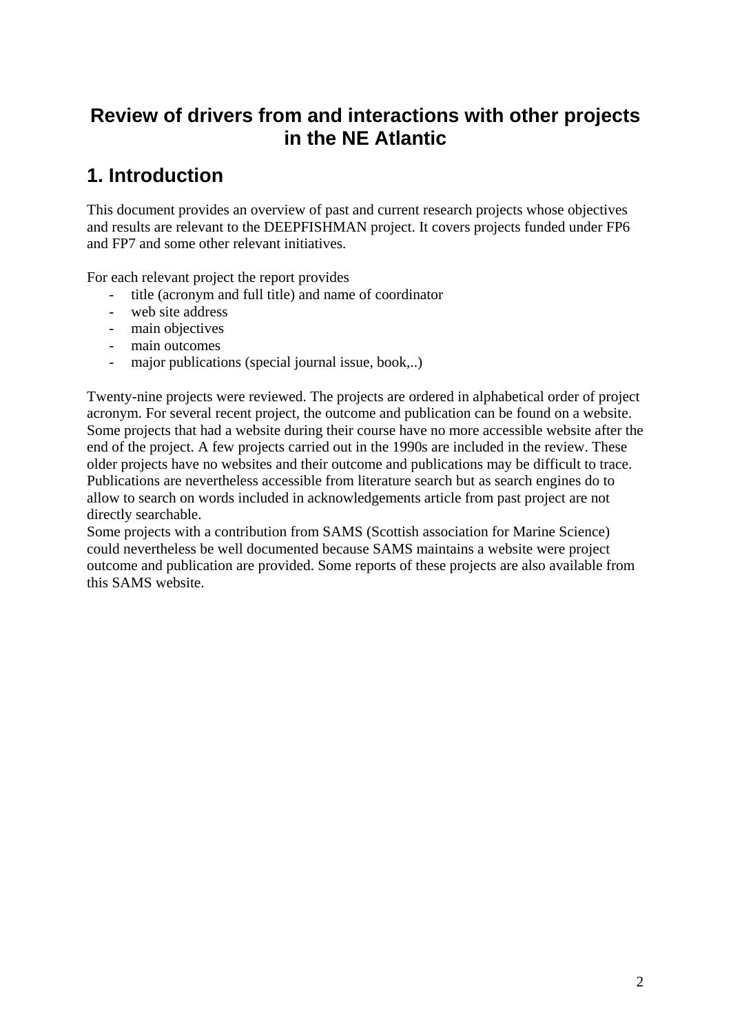# **Review of drivers from and interactions with other projects in the NE Atlantic**

# **1. Introduction**

This document provides an overview of past and current research projects whose objectives and results are relevant to the DEEPFISHMAN project. It covers projects funded under FP6 and FP7 and some other relevant initiatives.

For each relevant project the report provides

- title (acronym and full title) and name of coordinator
- web site address
- main objectives
- main outcomes
- major publications (special journal issue, book,..)

Twenty-nine projects were reviewed. The projects are ordered in alphabetical order of project acronym. For several recent project, the outcome and publication can be found on a website. Some projects that had a website during their course have no more accessible website after the end of the project. A few projects carried out in the 1990s are included in the review. These older projects have no websites and their outcome and publications may be difficult to trace. Publications are nevertheless accessible from literature search but as search engines do to allow to search on words included in acknowledgements article from past project are not directly searchable.

Some projects with a contribution from SAMS (Scottish association for Marine Science) could nevertheless be well documented because SAMS maintains a website were project outcome and publication are provided. Some reports of these projects are also available from this SAMS website.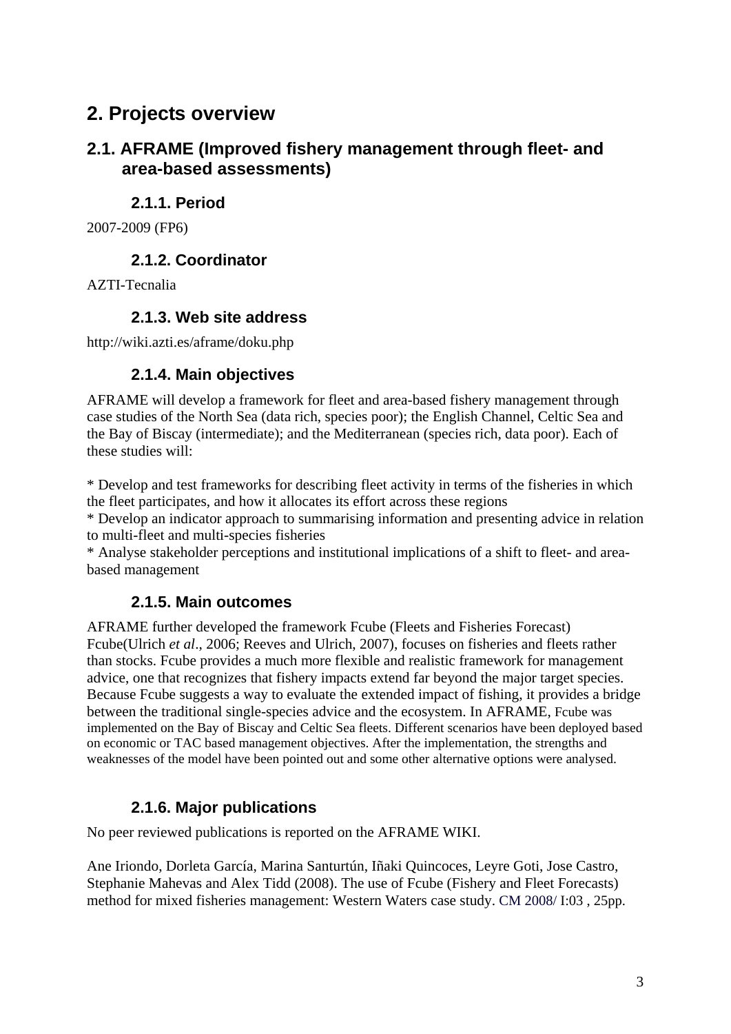# **2. Projects overview**

# **2.1. AFRAME (Improved fishery management through fleet- and area-based assessments)**

### **2.1.1. Period**

2007-2009 (FP6)

# **2.1.2. Coordinator**

AZTI-Tecnalia

# **2.1.3. Web site address**

http://wiki.azti.es/aframe/doku.php

### **2.1.4. Main objectives**

AFRAME will develop a framework for fleet and area-based fishery management through case studies of the North Sea (data rich, species poor); the English Channel, Celtic Sea and the Bay of Biscay (intermediate); and the Mediterranean (species rich, data poor). Each of these studies will:

\* Develop and test frameworks for describing fleet activity in terms of the fisheries in which the fleet participates, and how it allocates its effort across these regions

\* Develop an indicator approach to summarising information and presenting advice in relation to multi-fleet and multi-species fisheries

\* Analyse stakeholder perceptions and institutional implications of a shift to fleet- and areabased management

### **2.1.5. Main outcomes**

AFRAME further developed the framework Fcube (Fleets and Fisheries Forecast) Fcube(Ulrich *et al*., 2006; Reeves and Ulrich, 2007), focuses on fisheries and fleets rather than stocks. Fcube provides a much more flexible and realistic framework for management advice, one that recognizes that fishery impacts extend far beyond the major target species. Because Fcube suggests a way to evaluate the extended impact of fishing, it provides a bridge between the traditional single-species advice and the ecosystem. In AFRAME, Fcube was implemented on the Bay of Biscay and Celtic Sea fleets. Different scenarios have been deployed based on economic or TAC based management objectives. After the implementation, the strengths and weaknesses of the model have been pointed out and some other alternative options were analysed.

### **2.1.6. Major publications**

No peer reviewed publications is reported on the AFRAME WIKI.

Ane Iriondo, Dorleta García, Marina Santurtún, Iñaki Quincoces, Leyre Goti, Jose Castro, Stephanie Mahevas and Alex Tidd (2008). The use of Fcube (Fishery and Fleet Forecasts) method for mixed fisheries management: Western Waters case study. CM 2008/ I:03 , 25pp.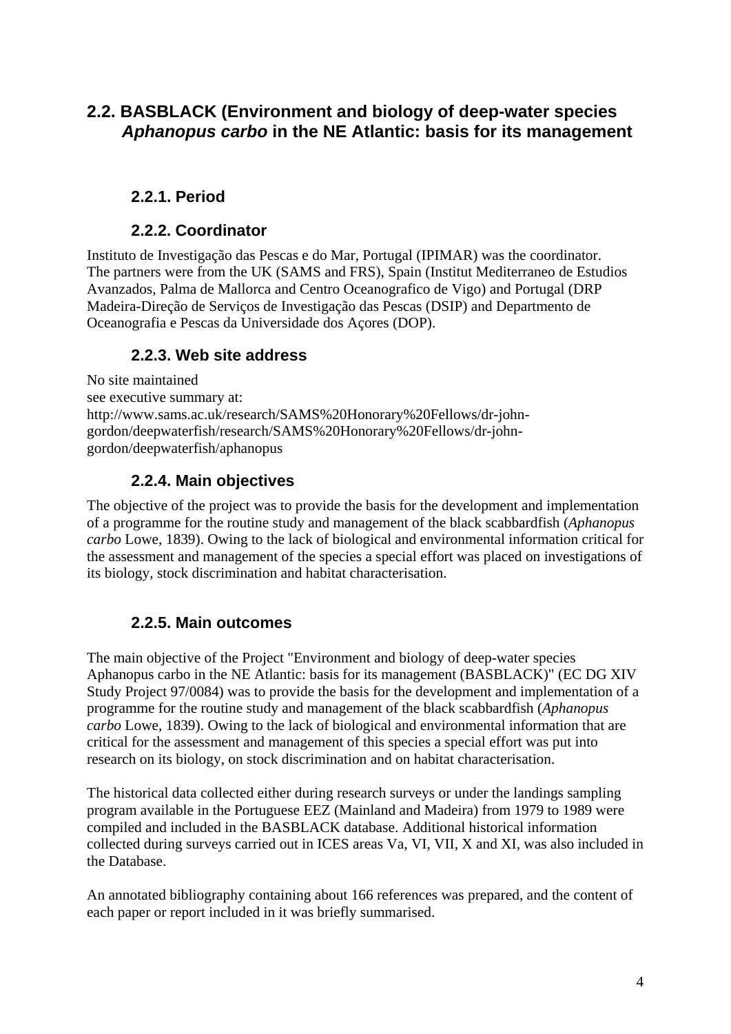# **2.2. BASBLACK (Environment and biology of deep-water species**  *Aphanopus carbo* **in the NE Atlantic: basis for its management**

# **2.2.1. Period**

### **2.2.2. Coordinator**

Instituto de Investigação das Pescas e do Mar, Portugal (IPIMAR) was the coordinator. The partners were from the UK (SAMS and FRS), Spain (Institut Mediterraneo de Estudios Avanzados, Palma de Mallorca and Centro Oceanografico de Vigo) and Portugal (DRP Madeira-Direção de Serviços de Investigação das Pescas (DSIP) and Departmento de Oceanografia e Pescas da Universidade dos Açores (DOP).

# **2.2.3. Web site address**

No site maintained see executive summary at: http://www.sams.ac.uk/research/SAMS%20Honorary%20Fellows/dr-johngordon/deepwaterfish/research/SAMS%20Honorary%20Fellows/dr-johngordon/deepwaterfish/aphanopus

# **2.2.4. Main objectives**

The objective of the project was to provide the basis for the development and implementation of a programme for the routine study and management of the black scabbardfish (*Aphanopus carbo* Lowe, 1839). Owing to the lack of biological and environmental information critical for the assessment and management of the species a special effort was placed on investigations of its biology, stock discrimination and habitat characterisation.

# **2.2.5. Main outcomes**

The main objective of the Project "Environment and biology of deep-water species Aphanopus carbo in the NE Atlantic: basis for its management (BASBLACK)" (EC DG XIV Study Project 97/0084) was to provide the basis for the development and implementation of a programme for the routine study and management of the black scabbardfish (*Aphanopus carbo* Lowe, 1839). Owing to the lack of biological and environmental information that are critical for the assessment and management of this species a special effort was put into research on its biology, on stock discrimination and on habitat characterisation.

The historical data collected either during research surveys or under the landings sampling program available in the Portuguese EEZ (Mainland and Madeira) from 1979 to 1989 were compiled and included in the BASBLACK database. Additional historical information collected during surveys carried out in ICES areas Va, VI, VII, X and XI, was also included in the Database.

An annotated bibliography containing about 166 references was prepared, and the content of each paper or report included in it was briefly summarised.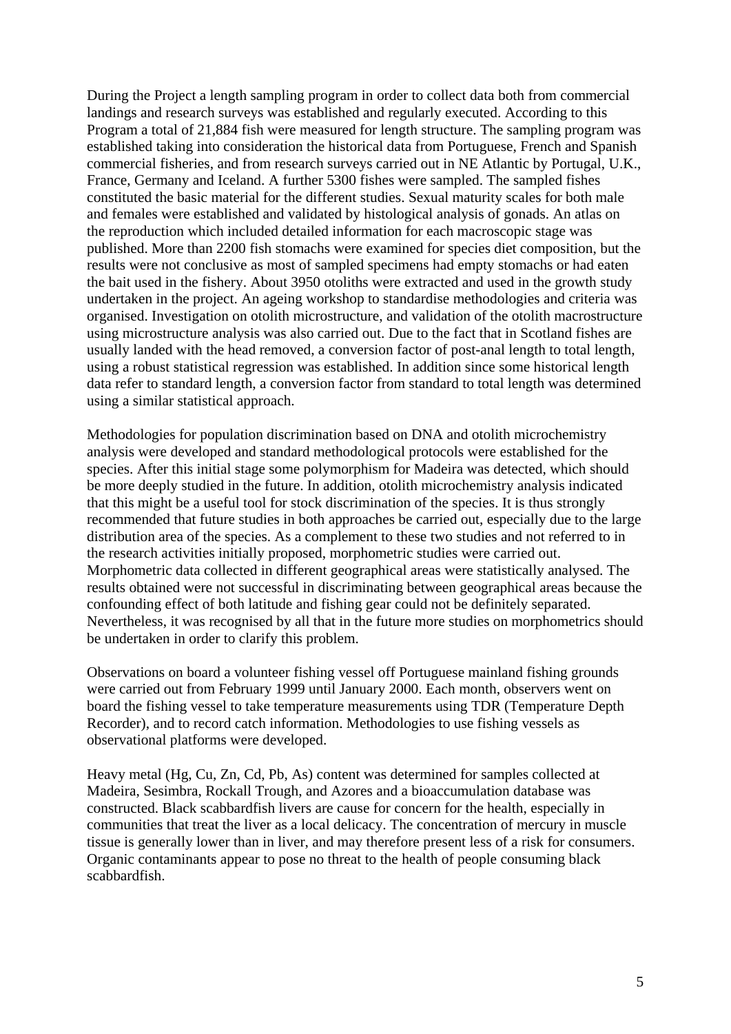During the Project a length sampling program in order to collect data both from commercial landings and research surveys was established and regularly executed. According to this Program a total of 21,884 fish were measured for length structure. The sampling program was established taking into consideration the historical data from Portuguese, French and Spanish commercial fisheries, and from research surveys carried out in NE Atlantic by Portugal, U.K., France, Germany and Iceland. A further 5300 fishes were sampled. The sampled fishes constituted the basic material for the different studies. Sexual maturity scales for both male and females were established and validated by histological analysis of gonads. An atlas on the reproduction which included detailed information for each macroscopic stage was published. More than 2200 fish stomachs were examined for species diet composition, but the results were not conclusive as most of sampled specimens had empty stomachs or had eaten the bait used in the fishery. About 3950 otoliths were extracted and used in the growth study undertaken in the project. An ageing workshop to standardise methodologies and criteria was organised. Investigation on otolith microstructure, and validation of the otolith macrostructure using microstructure analysis was also carried out. Due to the fact that in Scotland fishes are usually landed with the head removed, a conversion factor of post-anal length to total length, using a robust statistical regression was established. In addition since some historical length data refer to standard length, a conversion factor from standard to total length was determined using a similar statistical approach.

Methodologies for population discrimination based on DNA and otolith microchemistry analysis were developed and standard methodological protocols were established for the species. After this initial stage some polymorphism for Madeira was detected, which should be more deeply studied in the future. In addition, otolith microchemistry analysis indicated that this might be a useful tool for stock discrimination of the species. It is thus strongly recommended that future studies in both approaches be carried out, especially due to the large distribution area of the species. As a complement to these two studies and not referred to in the research activities initially proposed, morphometric studies were carried out. Morphometric data collected in different geographical areas were statistically analysed. The results obtained were not successful in discriminating between geographical areas because the confounding effect of both latitude and fishing gear could not be definitely separated. Nevertheless, it was recognised by all that in the future more studies on morphometrics should be undertaken in order to clarify this problem.

Observations on board a volunteer fishing vessel off Portuguese mainland fishing grounds were carried out from February 1999 until January 2000. Each month, observers went on board the fishing vessel to take temperature measurements using TDR (Temperature Depth Recorder), and to record catch information. Methodologies to use fishing vessels as observational platforms were developed.

Heavy metal (Hg, Cu, Zn, Cd, Pb, As) content was determined for samples collected at Madeira, Sesimbra, Rockall Trough, and Azores and a bioaccumulation database was constructed. Black scabbardfish livers are cause for concern for the health, especially in communities that treat the liver as a local delicacy. The concentration of mercury in muscle tissue is generally lower than in liver, and may therefore present less of a risk for consumers. Organic contaminants appear to pose no threat to the health of people consuming black scabbardfish.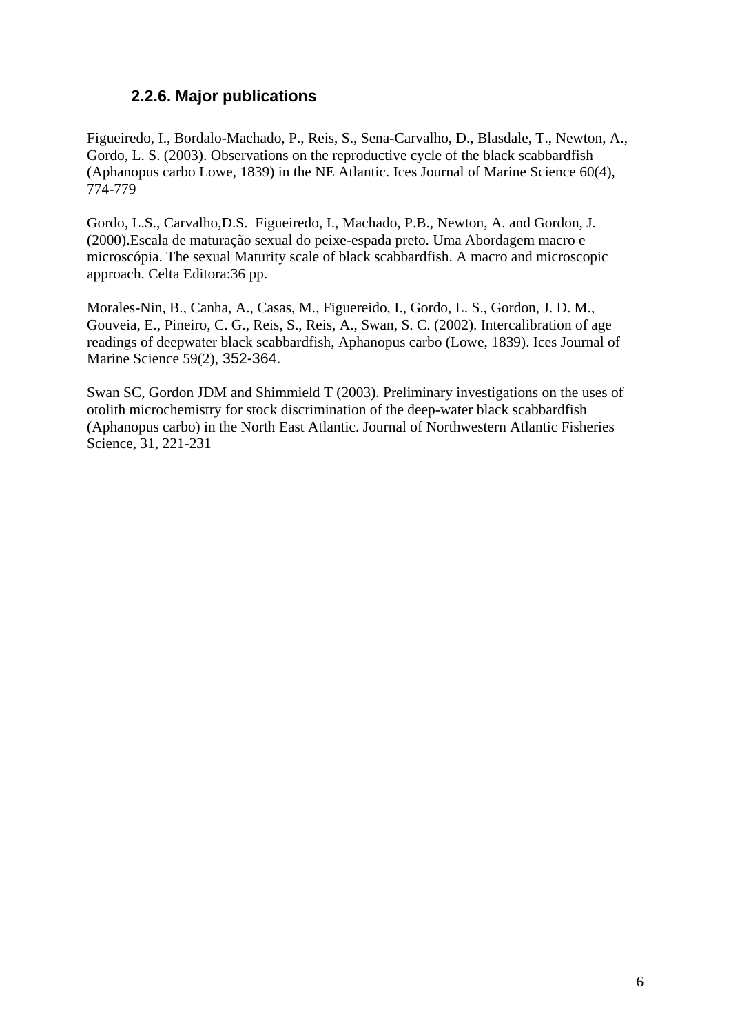#### **2.2.6. Major publications**

Figueiredo, I., Bordalo-Machado, P., Reis, S., Sena-Carvalho, D., Blasdale, T., Newton, A., Gordo, L. S. (2003). Observations on the reproductive cycle of the black scabbardfish (Aphanopus carbo Lowe, 1839) in the NE Atlantic. Ices Journal of Marine Science 60(4), 774-779

Gordo, L.S., Carvalho,D.S. Figueiredo, I., Machado, P.B., Newton, A. and Gordon, J. (2000).Escala de maturação sexual do peixe-espada preto. Uma Abordagem macro e microscópia. The sexual Maturity scale of black scabbardfish. A macro and microscopic approach. Celta Editora:36 pp.

Morales-Nin, B., Canha, A., Casas, M., Figuereido, I., Gordo, L. S., Gordon, J. D. M., Gouveia, E., Pineiro, C. G., Reis, S., Reis, A., Swan, S. C. (2002). Intercalibration of age readings of deepwater black scabbardfish, Aphanopus carbo (Lowe, 1839). Ices Journal of Marine Science 59(2), 352-364.

Swan SC, Gordon JDM and Shimmield T (2003). Preliminary investigations on the uses of otolith microchemistry for stock discrimination of the deep-water black scabbardfish (Aphanopus carbo) in the North East Atlantic. Journal of Northwestern Atlantic Fisheries Science, 31, 221-231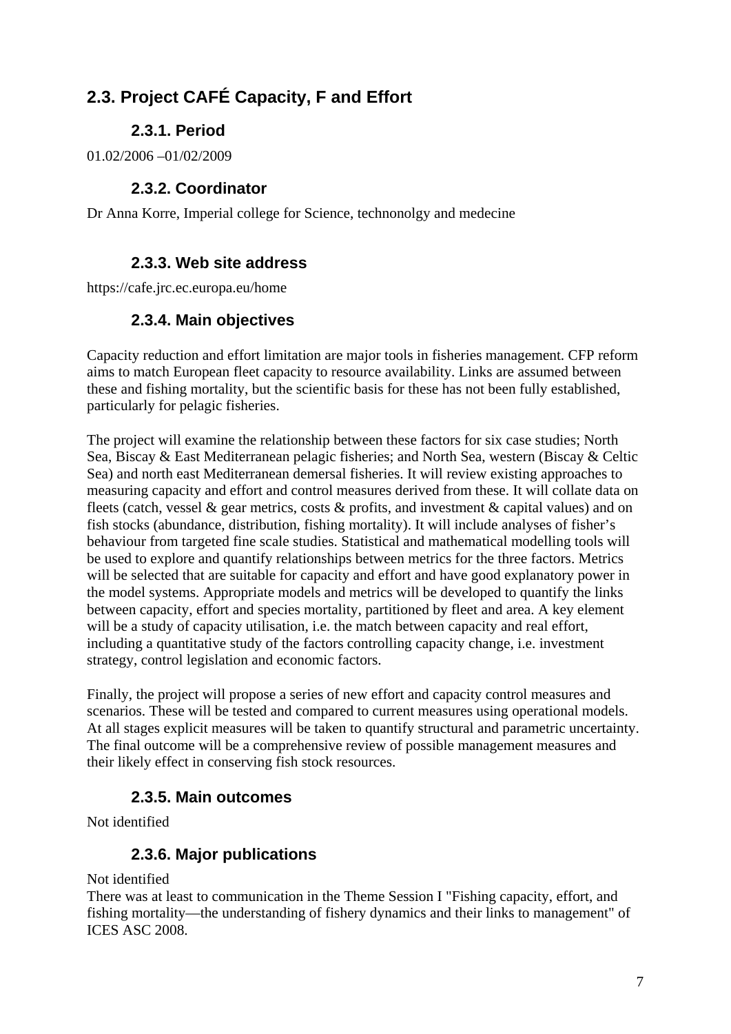# **2.3. Project CAFÉ Capacity, F and Effort**

### **2.3.1. Period**

01.02/2006 –01/02/2009

#### **2.3.2. Coordinator**

Dr Anna Korre, Imperial college for Science, technonolgy and medecine

# **2.3.3. Web site address**

https://cafe.jrc.ec.europa.eu/home

# **2.3.4. Main objectives**

Capacity reduction and effort limitation are major tools in fisheries management. CFP reform aims to match European fleet capacity to resource availability. Links are assumed between these and fishing mortality, but the scientific basis for these has not been fully established, particularly for pelagic fisheries.

The project will examine the relationship between these factors for six case studies; North Sea, Biscay & East Mediterranean pelagic fisheries; and North Sea, western (Biscay & Celtic Sea) and north east Mediterranean demersal fisheries. It will review existing approaches to measuring capacity and effort and control measures derived from these. It will collate data on fleets (catch, vessel  $\&$  gear metrics, costs  $\&$  profits, and investment  $\&$  capital values) and on fish stocks (abundance, distribution, fishing mortality). It will include analyses of fisher's behaviour from targeted fine scale studies. Statistical and mathematical modelling tools will be used to explore and quantify relationships between metrics for the three factors. Metrics will be selected that are suitable for capacity and effort and have good explanatory power in the model systems. Appropriate models and metrics will be developed to quantify the links between capacity, effort and species mortality, partitioned by fleet and area. A key element will be a study of capacity utilisation, i.e. the match between capacity and real effort, including a quantitative study of the factors controlling capacity change, i.e. investment strategy, control legislation and economic factors.

Finally, the project will propose a series of new effort and capacity control measures and scenarios. These will be tested and compared to current measures using operational models. At all stages explicit measures will be taken to quantify structural and parametric uncertainty. The final outcome will be a comprehensive review of possible management measures and their likely effect in conserving fish stock resources.

# **2.3.5. Main outcomes**

Not identified

### **2.3.6. Major publications**

Not identified

There was at least to communication in the Theme Session I "Fishing capacity, effort, and fishing mortality—the understanding of fishery dynamics and their links to management" of ICES ASC 2008.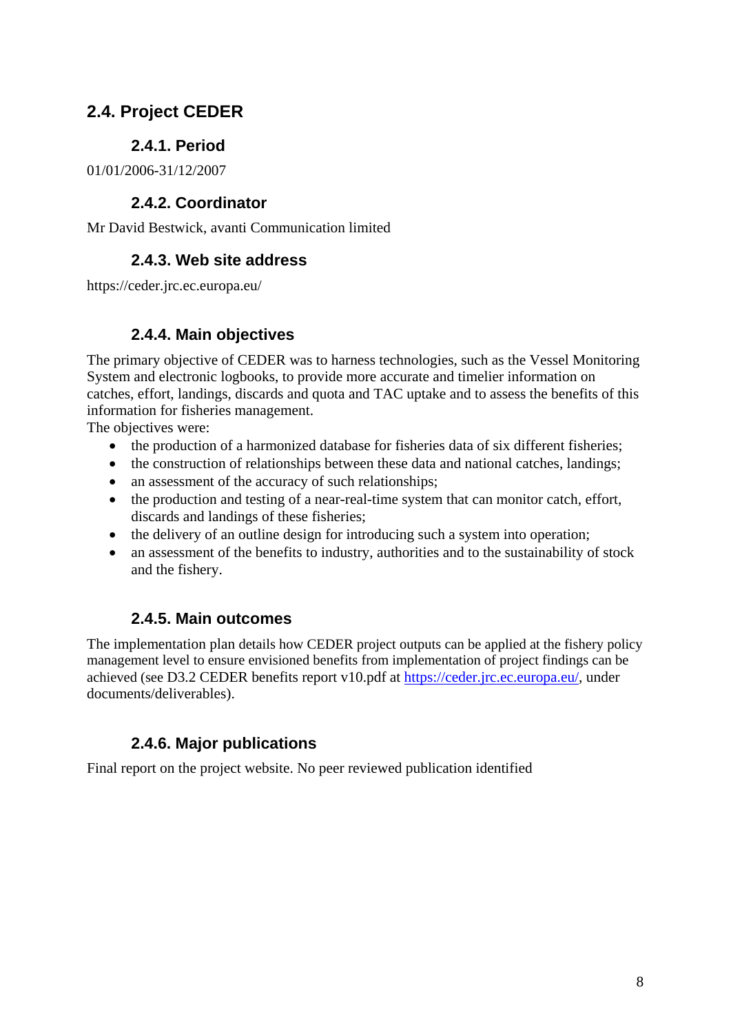# **2.4. Project CEDER**

#### **2.4.1. Period**

01/01/2006-31/12/2007

#### **2.4.2. Coordinator**

Mr David Bestwick, avanti Communication limited

#### **2.4.3. Web site address**

https://ceder.jrc.ec.europa.eu/

### **2.4.4. Main objectives**

The primary objective of CEDER was to harness technologies, such as the Vessel Monitoring System and electronic logbooks, to provide more accurate and timelier information on catches, effort, landings, discards and quota and TAC uptake and to assess the benefits of this information for fisheries management.

The objectives were:

- the production of a harmonized database for fisheries data of six different fisheries;
- the construction of relationships between these data and national catches, landings;
- an assessment of the accuracy of such relationships:
- the production and testing of a near-real-time system that can monitor catch, effort, discards and landings of these fisheries;
- the delivery of an outline design for introducing such a system into operation;
- an assessment of the benefits to industry, authorities and to the sustainability of stock and the fishery.

### **2.4.5. Main outcomes**

The implementation plan details how CEDER project outputs can be applied at the fishery policy management level to ensure envisioned benefits from implementation of project findings can be achieved (see D3.2 CEDER benefits report v10.pdf at https://ceder.jrc.ec.europa.eu/, under documents/deliverables).

### **2.4.6. Major publications**

Final report on the project website. No peer reviewed publication identified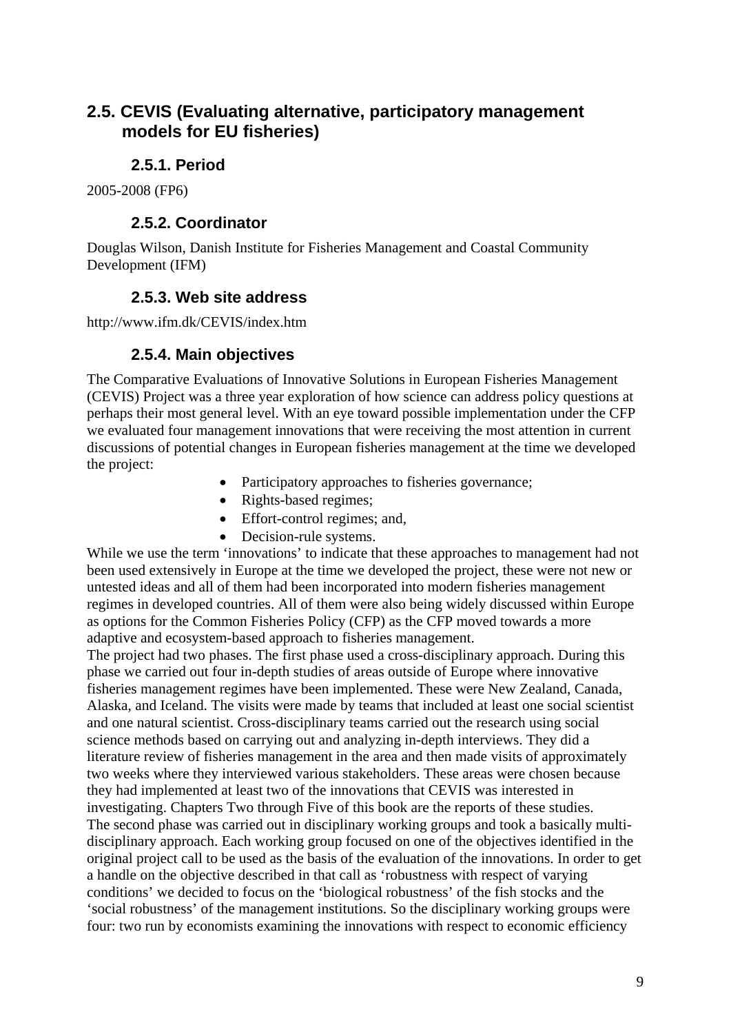# **2.5. CEVIS (Evaluating alternative, participatory management models for EU fisheries)**

#### **2.5.1. Period**

2005-2008 (FP6)

#### **2.5.2. Coordinator**

Douglas Wilson, Danish Institute for Fisheries Management and Coastal Community Development (IFM)

#### **2.5.3. Web site address**

http://www.ifm.dk/CEVIS/index.htm

#### **2.5.4. Main objectives**

The Comparative Evaluations of Innovative Solutions in European Fisheries Management (CEVIS) Project was a three year exploration of how science can address policy questions at perhaps their most general level. With an eye toward possible implementation under the CFP we evaluated four management innovations that were receiving the most attention in current discussions of potential changes in European fisheries management at the time we developed the project:

- Participatory approaches to fisheries governance;
- Rights-based regimes;
- Effort-control regimes; and,
- Decision-rule systems.

While we use the term 'innovations' to indicate that these approaches to management had not been used extensively in Europe at the time we developed the project, these were not new or untested ideas and all of them had been incorporated into modern fisheries management regimes in developed countries. All of them were also being widely discussed within Europe as options for the Common Fisheries Policy (CFP) as the CFP moved towards a more adaptive and ecosystem-based approach to fisheries management.

The project had two phases. The first phase used a cross-disciplinary approach. During this phase we carried out four in-depth studies of areas outside of Europe where innovative fisheries management regimes have been implemented. These were New Zealand, Canada, Alaska, and Iceland. The visits were made by teams that included at least one social scientist and one natural scientist. Cross-disciplinary teams carried out the research using social science methods based on carrying out and analyzing in-depth interviews. They did a literature review of fisheries management in the area and then made visits of approximately two weeks where they interviewed various stakeholders. These areas were chosen because they had implemented at least two of the innovations that CEVIS was interested in investigating. Chapters Two through Five of this book are the reports of these studies. The second phase was carried out in disciplinary working groups and took a basically multidisciplinary approach. Each working group focused on one of the objectives identified in the original project call to be used as the basis of the evaluation of the innovations. In order to get a handle on the objective described in that call as 'robustness with respect of varying conditions' we decided to focus on the 'biological robustness' of the fish stocks and the 'social robustness' of the management institutions. So the disciplinary working groups were four: two run by economists examining the innovations with respect to economic efficiency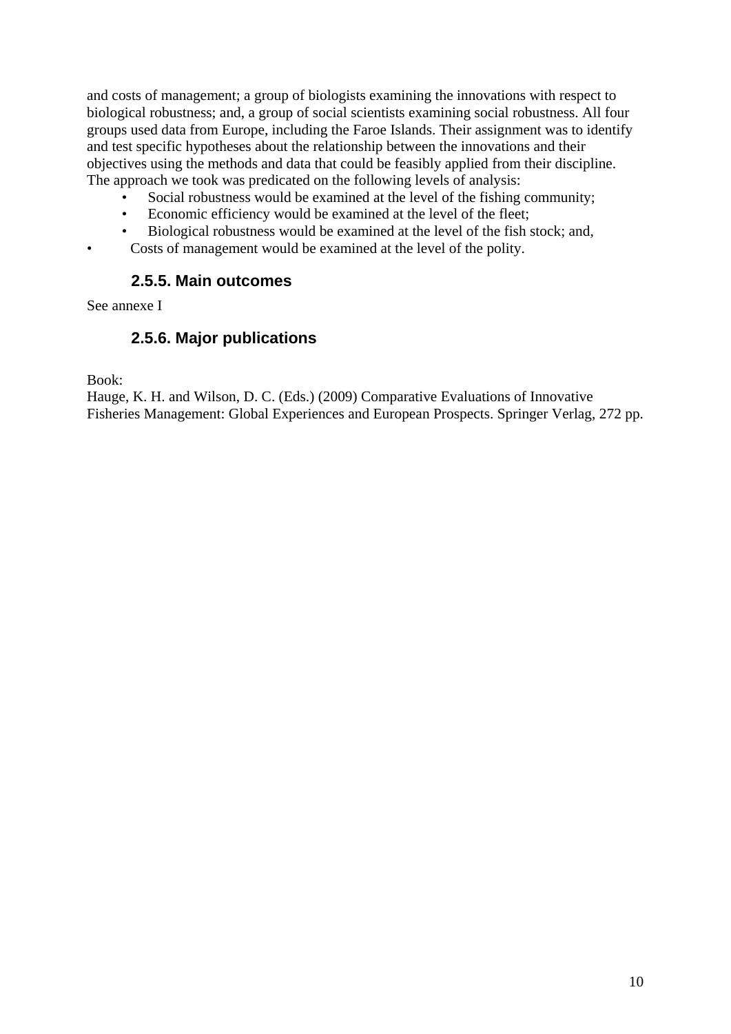and costs of management; a group of biologists examining the innovations with respect to biological robustness; and, a group of social scientists examining social robustness. All four groups used data from Europe, including the Faroe Islands. Their assignment was to identify and test specific hypotheses about the relationship between the innovations and their objectives using the methods and data that could be feasibly applied from their discipline. The approach we took was predicated on the following levels of analysis:

- Social robustness would be examined at the level of the fishing community;
- Economic efficiency would be examined at the level of the fleet;
- Biological robustness would be examined at the level of the fish stock; and,
- Costs of management would be examined at the level of the polity.

### **2.5.5. Main outcomes**

See annexe I

### **2.5.6. Major publications**

Book:

Hauge, K. H. and Wilson, D. C. (Eds.) (2009) Comparative Evaluations of Innovative Fisheries Management: Global Experiences and European Prospects. Springer Verlag, 272 pp.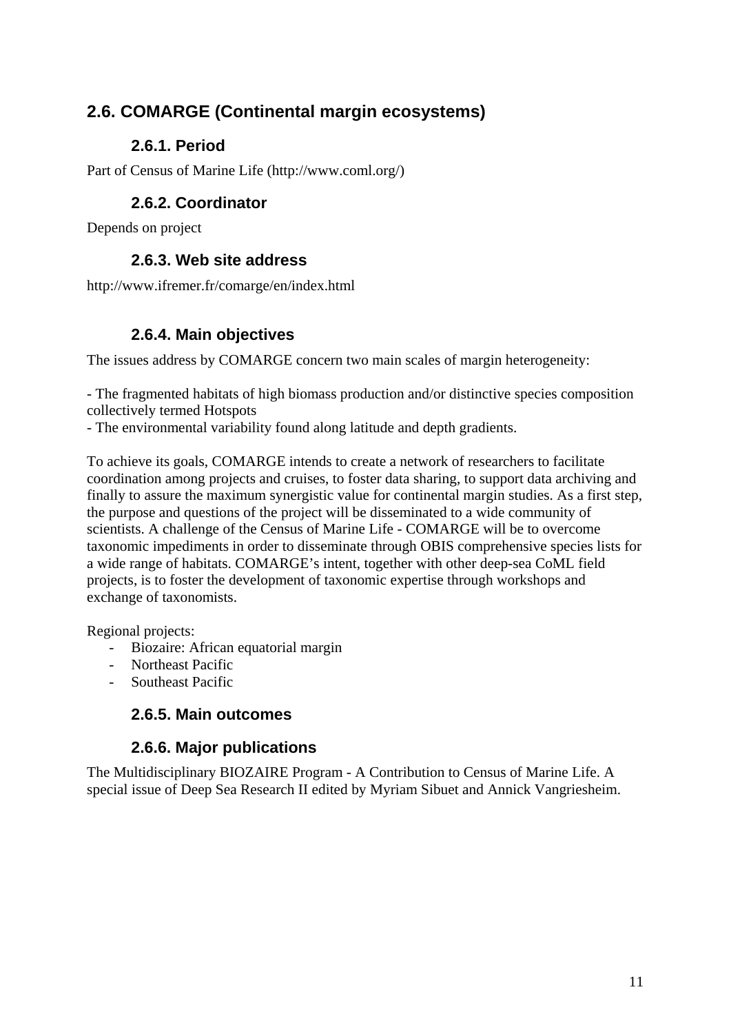# **2.6. COMARGE (Continental margin ecosystems)**

#### **2.6.1. Period**

Part of Census of Marine Life (http://www.coml.org/)

# **2.6.2. Coordinator**

Depends on project

### **2.6.3. Web site address**

http://www.ifremer.fr/comarge/en/index.html

### **2.6.4. Main objectives**

The issues address by COMARGE concern two main scales of margin heterogeneity:

- The fragmented habitats of high biomass production and/or distinctive species composition collectively termed Hotspots

- The environmental variability found along latitude and depth gradients.

To achieve its goals, COMARGE intends to create a network of researchers to facilitate coordination among projects and cruises, to foster data sharing, to support data archiving and finally to assure the maximum synergistic value for continental margin studies. As a first step, the purpose and questions of the project will be disseminated to a wide community of scientists. A challenge of the Census of Marine Life - COMARGE will be to overcome taxonomic impediments in order to disseminate through OBIS comprehensive species lists for a wide range of habitats. COMARGE's intent, together with other deep-sea CoML field projects, is to foster the development of taxonomic expertise through workshops and exchange of taxonomists.

Regional projects:

- Biozaire: African equatorial margin
- Northeast Pacific
- Southeast Pacific

### **2.6.5. Main outcomes**

### **2.6.6. Major publications**

The Multidisciplinary BIOZAIRE Program - A Contribution to Census of Marine Life. A special issue of Deep Sea Research II edited by Myriam Sibuet and Annick Vangriesheim.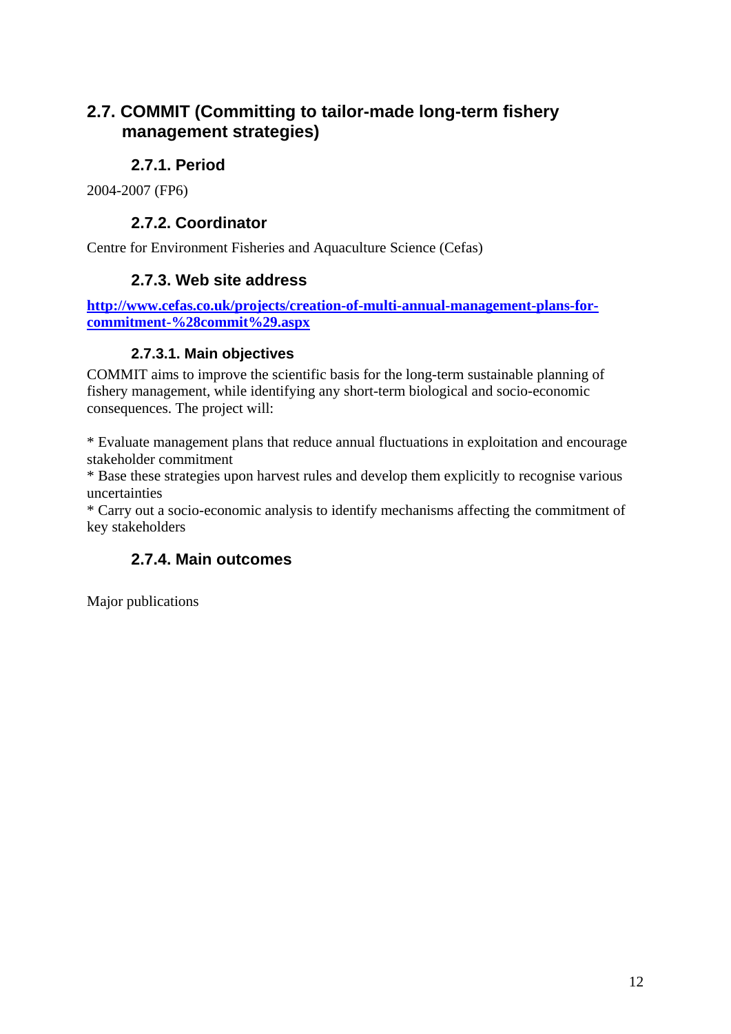# **2.7. COMMIT (Committing to tailor-made long-term fishery management strategies)**

### **2.7.1. Period**

2004-2007 (FP6)

### **2.7.2. Coordinator**

Centre for Environment Fisheries and Aquaculture Science (Cefas)

#### **2.7.3. Web site address**

**http://www.cefas.co.uk/projects/creation-of-multi-annual-management-plans-forcommitment-%28commit%29.aspx**

#### **2.7.3.1. Main objectives**

COMMIT aims to improve the scientific basis for the long-term sustainable planning of fishery management, while identifying any short-term biological and socio-economic consequences. The project will:

\* Evaluate management plans that reduce annual fluctuations in exploitation and encourage stakeholder commitment

\* Base these strategies upon harvest rules and develop them explicitly to recognise various uncertainties

\* Carry out a socio-economic analysis to identify mechanisms affecting the commitment of key stakeholders

# **2.7.4. Main outcomes**

Major publications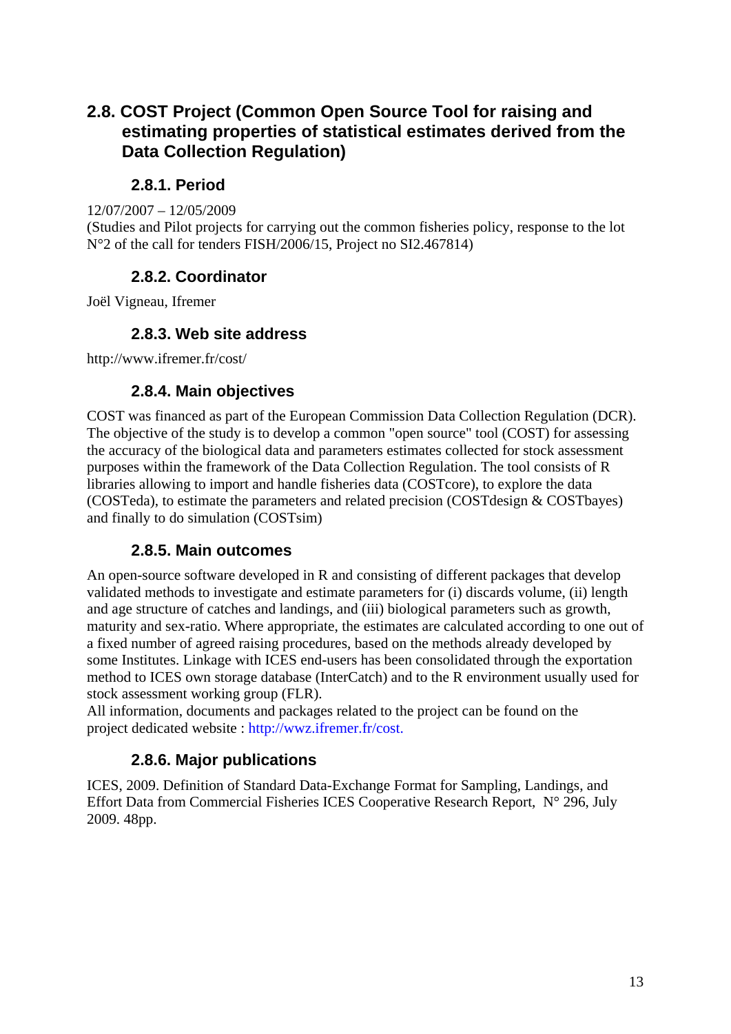# **2.8. COST Project (Common Open Source Tool for raising and estimating properties of statistical estimates derived from the Data Collection Regulation)**

#### **2.8.1. Period**

12/07/2007 – 12/05/2009

(Studies and Pilot projects for carrying out the common fisheries policy, response to the lot N°2 of the call for tenders FISH/2006/15, Project no SI2.467814)

### **2.8.2. Coordinator**

Joël Vigneau, Ifremer

### **2.8.3. Web site address**

http://www.ifremer.fr/cost/

### **2.8.4. Main objectives**

COST was financed as part of the European Commission Data Collection Regulation (DCR). The objective of the study is to develop a common "open source" tool (COST) for assessing the accuracy of the biological data and parameters estimates collected for stock assessment purposes within the framework of the Data Collection Regulation. The tool consists of R libraries allowing to import and handle fisheries data (COSTcore), to explore the data (COSTeda), to estimate the parameters and related precision (COSTdesign & COSTbayes) and finally to do simulation (COSTsim)

### **2.8.5. Main outcomes**

An open-source software developed in R and consisting of different packages that develop validated methods to investigate and estimate parameters for (i) discards volume, (ii) length and age structure of catches and landings, and (iii) biological parameters such as growth, maturity and sex-ratio. Where appropriate, the estimates are calculated according to one out of a fixed number of agreed raising procedures, based on the methods already developed by some Institutes. Linkage with ICES end-users has been consolidated through the exportation method to ICES own storage database (InterCatch) and to the R environment usually used for stock assessment working group (FLR).

All information, documents and packages related to the project can be found on the project dedicated website : http://wwz.ifremer.fr/cost.

# **2.8.6. Major publications**

ICES, 2009. Definition of Standard Data-Exchange Format for Sampling, Landings, and Effort Data from Commercial Fisheries ICES Cooperative Research Report, N° 296, July 2009. 48pp.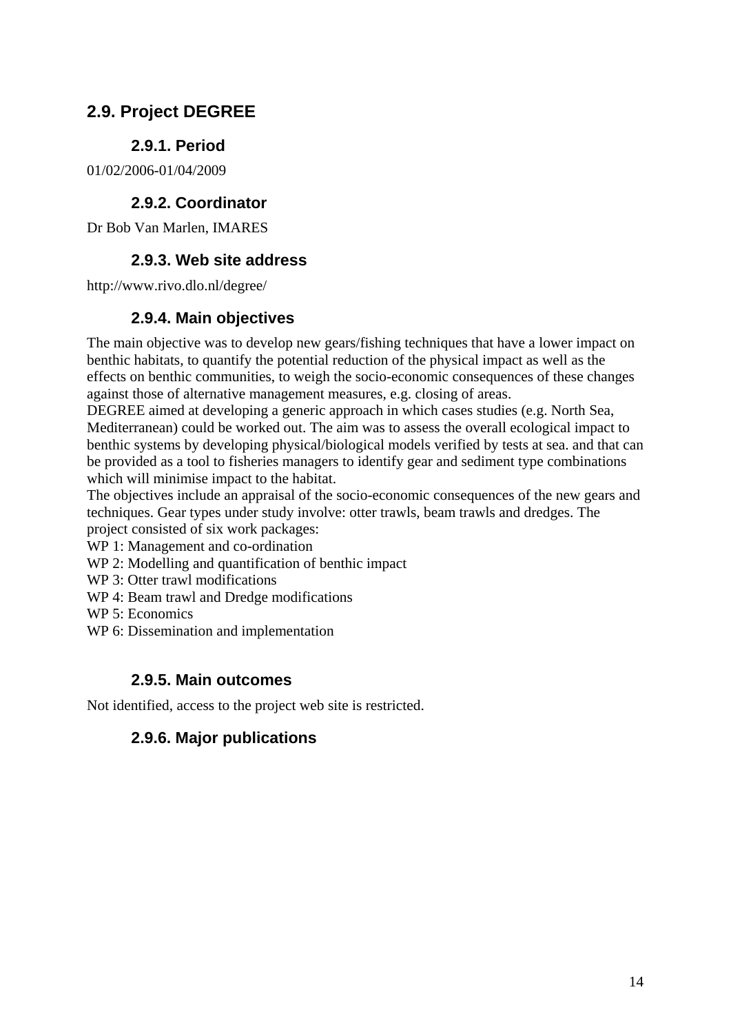# **2.9. Project DEGREE**

### **2.9.1. Period**

01/02/2006-01/04/2009

### **2.9.2. Coordinator**

Dr Bob Van Marlen, IMARES

### **2.9.3. Web site address**

http://www.rivo.dlo.nl/degree/

# **2.9.4. Main objectives**

The main objective was to develop new gears/fishing techniques that have a lower impact on benthic habitats, to quantify the potential reduction of the physical impact as well as the effects on benthic communities, to weigh the socio-economic consequences of these changes against those of alternative management measures, e.g. closing of areas.

DEGREE aimed at developing a generic approach in which cases studies (e.g. North Sea, Mediterranean) could be worked out. The aim was to assess the overall ecological impact to benthic systems by developing physical/biological models verified by tests at sea. and that can be provided as a tool to fisheries managers to identify gear and sediment type combinations which will minimise impact to the habitat.

The objectives include an appraisal of the socio-economic consequences of the new gears and techniques. Gear types under study involve: otter trawls, beam trawls and dredges. The project consisted of six work packages:

WP 1: Management and co-ordination

- WP 2: Modelling and quantification of benthic impact
- WP 3: Otter trawl modifications
- WP 4: Beam trawl and Dredge modifications
- WP 5: Economics
- WP 6: Dissemination and implementation

#### **2.9.5. Main outcomes**

Not identified, access to the project web site is restricted.

### **2.9.6. Major publications**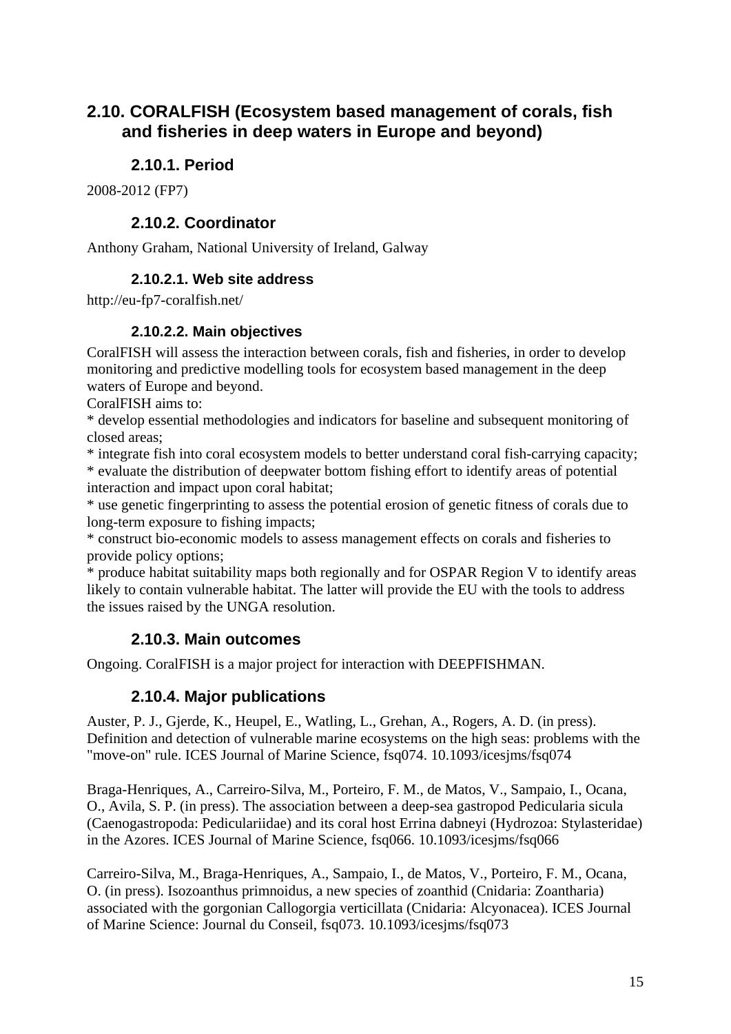# **2.10. CORALFISH (Ecosystem based management of corals, fish and fisheries in deep waters in Europe and beyond)**

### **2.10.1. Period**

2008-2012 (FP7)

### **2.10.2. Coordinator**

Anthony Graham, National University of Ireland, Galway

#### **2.10.2.1. Web site address**

http://eu-fp7-coralfish.net/

#### **2.10.2.2. Main objectives**

CoralFISH will assess the interaction between corals, fish and fisheries, in order to develop monitoring and predictive modelling tools for ecosystem based management in the deep waters of Europe and beyond.

CoralFISH aims to:

\* develop essential methodologies and indicators for baseline and subsequent monitoring of closed areas;

\* integrate fish into coral ecosystem models to better understand coral fish-carrying capacity;

\* evaluate the distribution of deepwater bottom fishing effort to identify areas of potential interaction and impact upon coral habitat;

\* use genetic fingerprinting to assess the potential erosion of genetic fitness of corals due to long-term exposure to fishing impacts;

\* construct bio-economic models to assess management effects on corals and fisheries to provide policy options;

\* produce habitat suitability maps both regionally and for OSPAR Region V to identify areas likely to contain vulnerable habitat. The latter will provide the EU with the tools to address the issues raised by the UNGA resolution.

# **2.10.3. Main outcomes**

Ongoing. CoralFISH is a major project for interaction with DEEPFISHMAN.

### **2.10.4. Major publications**

Auster, P. J., Gjerde, K., Heupel, E., Watling, L., Grehan, A., Rogers, A. D. (in press). Definition and detection of vulnerable marine ecosystems on the high seas: problems with the "move-on" rule. ICES Journal of Marine Science, fsq074. 10.1093/icesjms/fsq074

Braga-Henriques, A., Carreiro-Silva, M., Porteiro, F. M., de Matos, V., Sampaio, I., Ocana, O., Avila, S. P. (in press). The association between a deep-sea gastropod Pedicularia sicula (Caenogastropoda: Pediculariidae) and its coral host Errina dabneyi (Hydrozoa: Stylasteridae) in the Azores. ICES Journal of Marine Science, fsq066. 10.1093/icesjms/fsq066

Carreiro-Silva, M., Braga-Henriques, A., Sampaio, I., de Matos, V., Porteiro, F. M., Ocana, O. (in press). Isozoanthus primnoidus, a new species of zoanthid (Cnidaria: Zoantharia) associated with the gorgonian Callogorgia verticillata (Cnidaria: Alcyonacea). ICES Journal of Marine Science: Journal du Conseil, fsq073. 10.1093/icesjms/fsq073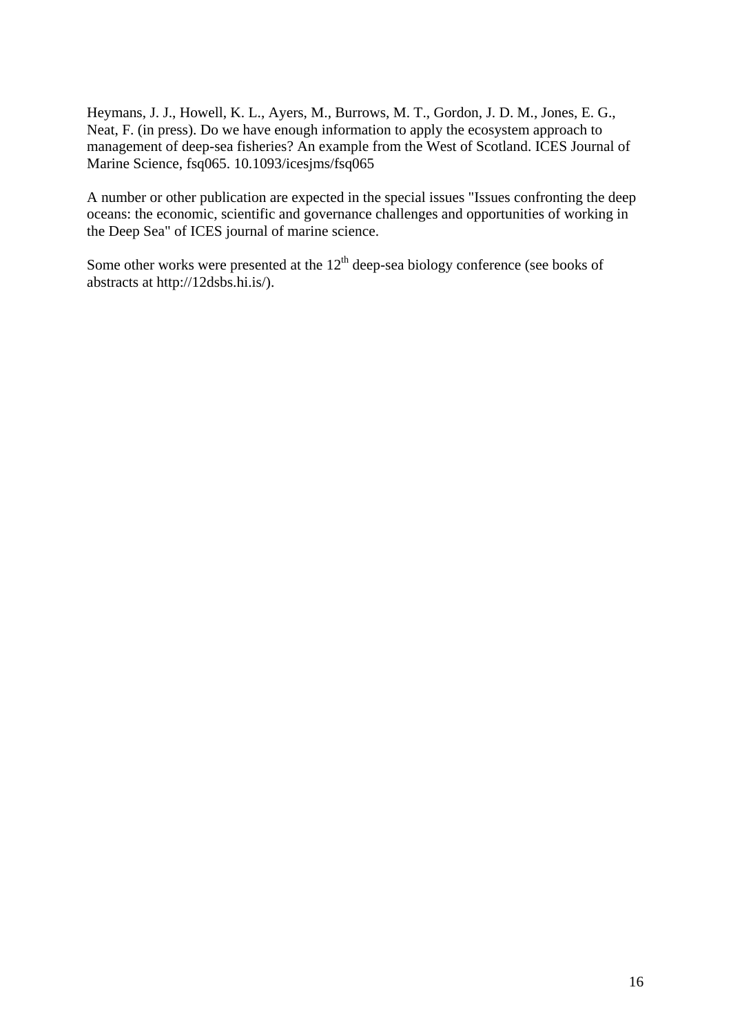Heymans, J. J., Howell, K. L., Ayers, M., Burrows, M. T., Gordon, J. D. M., Jones, E. G., Neat, F. (in press). Do we have enough information to apply the ecosystem approach to management of deep-sea fisheries? An example from the West of Scotland. ICES Journal of Marine Science, fsq065. 10.1093/icesjms/fsq065

A number or other publication are expected in the special issues "Issues confronting the deep oceans: the economic, scientific and governance challenges and opportunities of working in the Deep Sea" of ICES journal of marine science.

Some other works were presented at the  $12<sup>th</sup>$  deep-sea biology conference (see books of abstracts at http://12dsbs.hi.is/).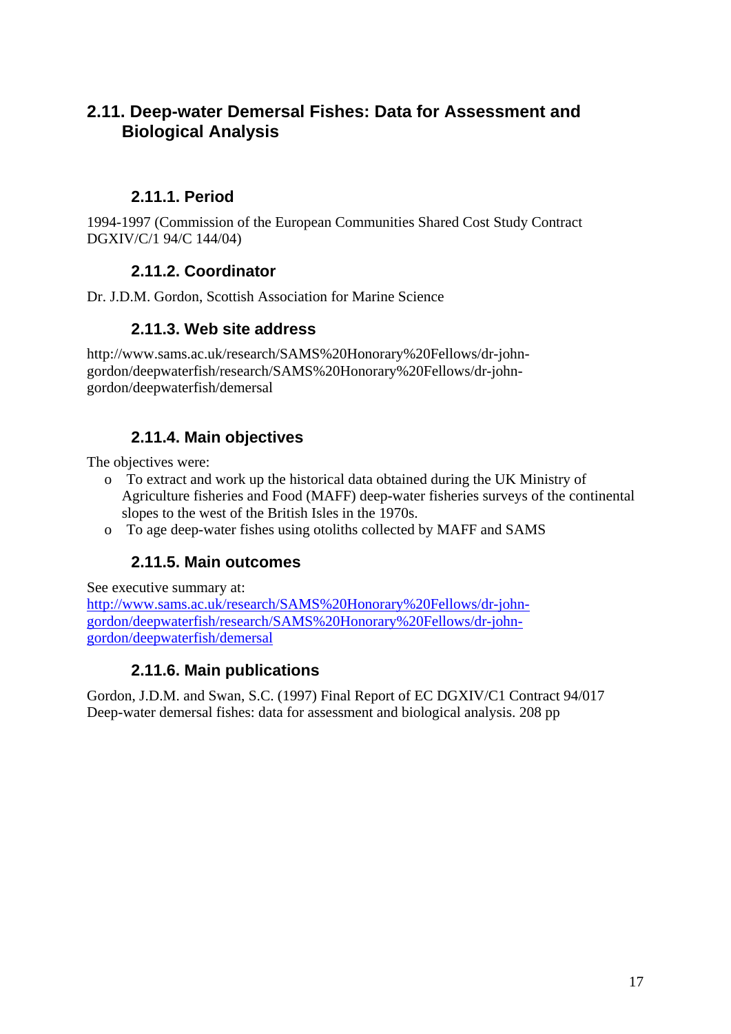# **2.11. Deep-water Demersal Fishes: Data for Assessment and Biological Analysis**

### **2.11.1. Period**

1994-1997 (Commission of the European Communities Shared Cost Study Contract DGXIV/C/1 94/C 144/04)

# **2.11.2. Coordinator**

Dr. J.D.M. Gordon, Scottish Association for Marine Science

#### **2.11.3. Web site address**

http://www.sams.ac.uk/research/SAMS%20Honorary%20Fellows/dr-johngordon/deepwaterfish/research/SAMS%20Honorary%20Fellows/dr-johngordon/deepwaterfish/demersal

# **2.11.4. Main objectives**

The objectives were:

- o To extract and work up the historical data obtained during the UK Ministry of Agriculture fisheries and Food (MAFF) deep-water fisheries surveys of the continental slopes to the west of the British Isles in the 1970s.
- o To age deep-water fishes using otoliths collected by MAFF and SAMS

### **2.11.5. Main outcomes**

See executive summary at: http://www.sams.ac.uk/research/SAMS%20Honorary%20Fellows/dr-johngordon/deepwaterfish/research/SAMS%20Honorary%20Fellows/dr-johngordon/deepwaterfish/demersal

#### **2.11.6. Main publications**

Gordon, J.D.M. and Swan, S.C. (1997) Final Report of EC DGXIV/C1 Contract 94/017 Deep-water demersal fishes: data for assessment and biological analysis. 208 pp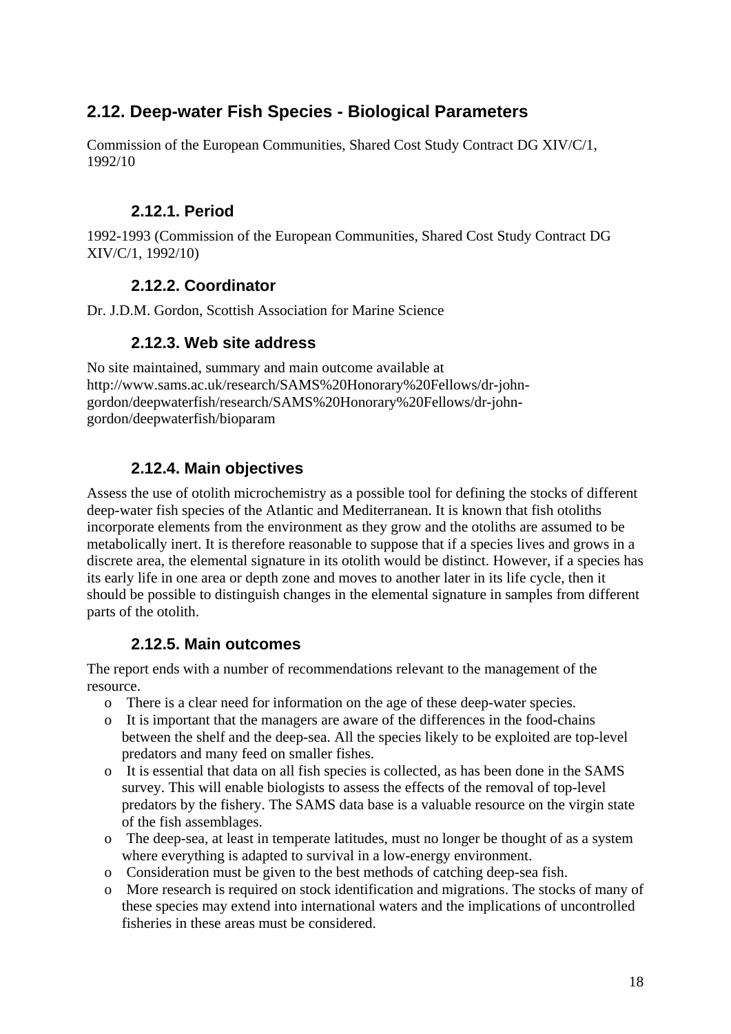# **2.12. Deep-water Fish Species - Biological Parameters**

Commission of the European Communities, Shared Cost Study Contract DG XIV/C/1, 1992/10

#### **2.12.1. Period**

1992-1993 (Commission of the European Communities, Shared Cost Study Contract DG XIV/C/1, 1992/10)

#### **2.12.2. Coordinator**

Dr. J.D.M. Gordon, Scottish Association for Marine Science

#### **2.12.3. Web site address**

No site maintained, summary and main outcome available at http://www.sams.ac.uk/research/SAMS%20Honorary%20Fellows/dr-johngordon/deepwaterfish/research/SAMS%20Honorary%20Fellows/dr-johngordon/deepwaterfish/bioparam

# **2.12.4. Main objectives**

Assess the use of otolith microchemistry as a possible tool for defining the stocks of different deep-water fish species of the Atlantic and Mediterranean. It is known that fish otoliths incorporate elements from the environment as they grow and the otoliths are assumed to be metabolically inert. It is therefore reasonable to suppose that if a species lives and grows in a discrete area, the elemental signature in its otolith would be distinct. However, if a species has its early life in one area or depth zone and moves to another later in its life cycle, then it should be possible to distinguish changes in the elemental signature in samples from different parts of the otolith.

#### **2.12.5. Main outcomes**

The report ends with a number of recommendations relevant to the management of the resource.

- o There is a clear need for information on the age of these deep-water species.
- o It is important that the managers are aware of the differences in the food-chains between the shelf and the deep-sea. All the species likely to be exploited are top-level predators and many feed on smaller fishes.
- o It is essential that data on all fish species is collected, as has been done in the SAMS survey. This will enable biologists to assess the effects of the removal of top-level predators by the fishery. The SAMS data base is a valuable resource on the virgin state of the fish assemblages.
- o The deep-sea, at least in temperate latitudes, must no longer be thought of as a system where everything is adapted to survival in a low-energy environment.
- o Consideration must be given to the best methods of catching deep-sea fish.
- o More research is required on stock identification and migrations. The stocks of many of these species may extend into international waters and the implications of uncontrolled fisheries in these areas must be considered.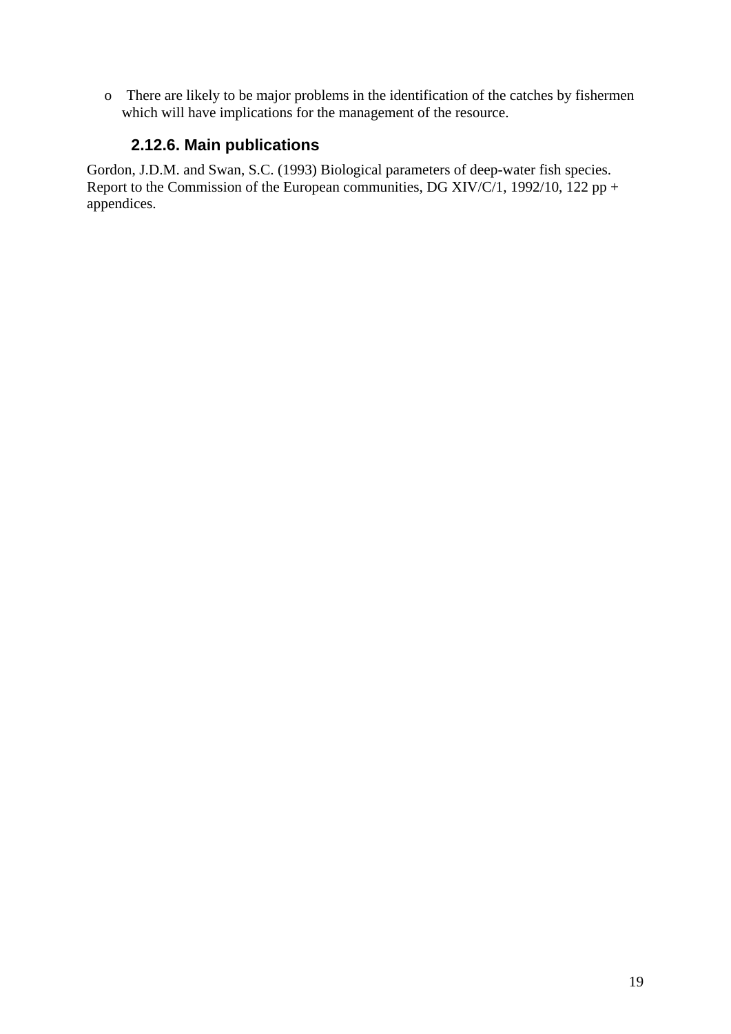o There are likely to be major problems in the identification of the catches by fishermen which will have implications for the management of the resource.

### **2.12.6. Main publications**

Gordon, J.D.M. and Swan, S.C. (1993) Biological parameters of deep-water fish species. Report to the Commission of the European communities, DG XIV/C/1, 1992/10, 122 pp + appendices.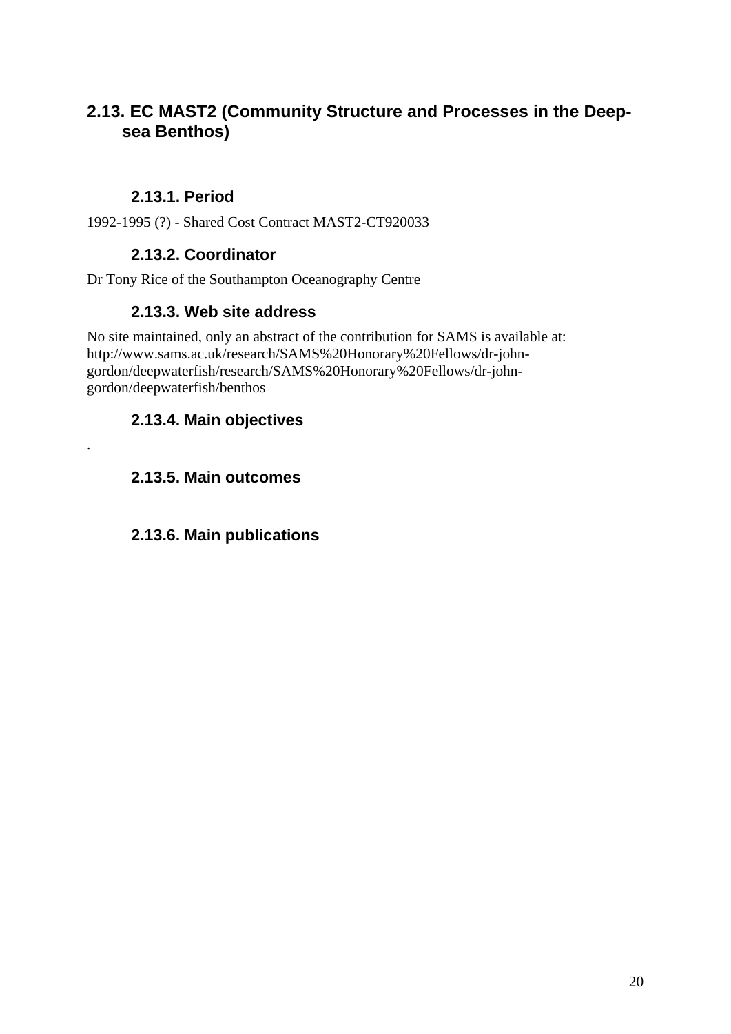# **2.13. EC MAST2 (Community Structure and Processes in the Deepsea Benthos)**

# **2.13.1. Period**

1992-1995 (?) - Shared Cost Contract MAST2-CT920033

#### **2.13.2. Coordinator**

Dr Tony Rice of the Southampton Oceanography Centre

### **2.13.3. Web site address**

No site maintained, only an abstract of the contribution for SAMS is available at: http://www.sams.ac.uk/research/SAMS%20Honorary%20Fellows/dr-johngordon/deepwaterfish/research/SAMS%20Honorary%20Fellows/dr-johngordon/deepwaterfish/benthos

# **2.13.4. Main objectives**

.

**2.13.5. Main outcomes** 

### **2.13.6. Main publications**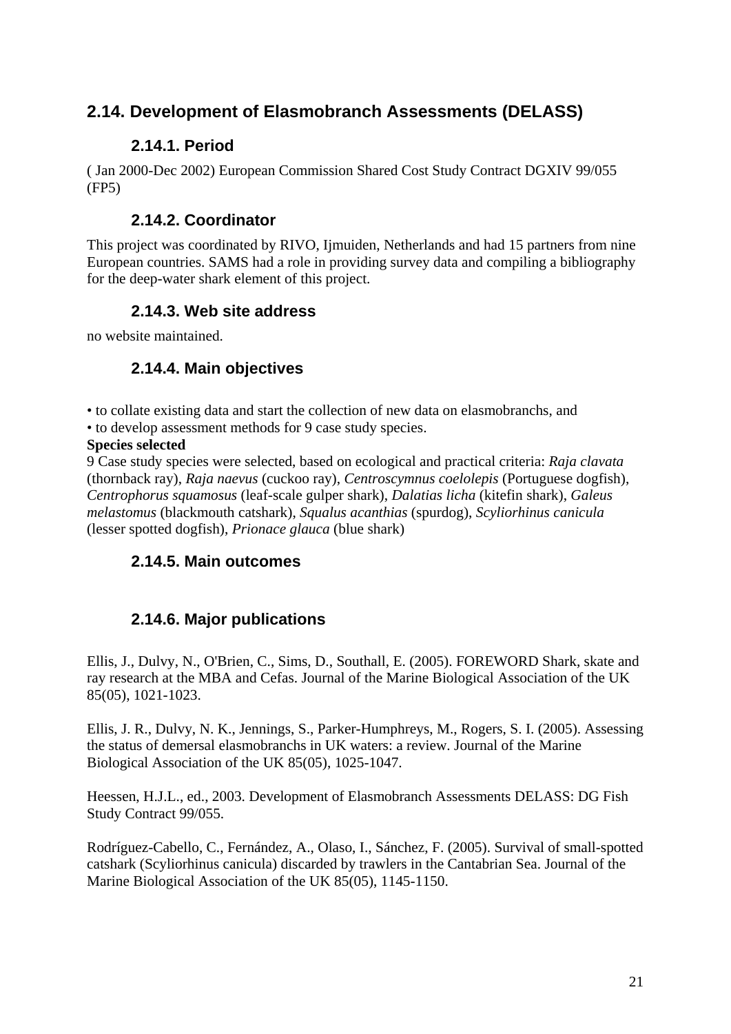# **2.14. Development of Elasmobranch Assessments (DELASS)**

### **2.14.1. Period**

( Jan 2000-Dec 2002) European Commission Shared Cost Study Contract DGXIV 99/055 (FP5)

### **2.14.2. Coordinator**

This project was coordinated by RIVO, Ijmuiden, Netherlands and had 15 partners from nine European countries. SAMS had a role in providing survey data and compiling a bibliography for the deep-water shark element of this project.

#### **2.14.3. Web site address**

no website maintained.

# **2.14.4. Main objectives**

• to collate existing data and start the collection of new data on elasmobranchs, and

• to develop assessment methods for 9 case study species.

#### **Species selected**

9 Case study species were selected, based on ecological and practical criteria: *Raja clavata*  (thornback ray), *Raja naevus* (cuckoo ray), *Centroscymnus coelolepis* (Portuguese dogfish), *Centrophorus squamosus* (leaf-scale gulper shark), *Dalatias licha* (kitefin shark), *Galeus melastomus* (blackmouth catshark), *Squalus acanthias* (spurdog), *Scyliorhinus canicula*  (lesser spotted dogfish), *Prionace glauca* (blue shark)

### **2.14.5. Main outcomes**

# **2.14.6. Major publications**

Ellis, J., Dulvy, N., O'Brien, C., Sims, D., Southall, E. (2005). FOREWORD Shark, skate and ray research at the MBA and Cefas. Journal of the Marine Biological Association of the UK 85(05), 1021-1023.

Ellis, J. R., Dulvy, N. K., Jennings, S., Parker-Humphreys, M., Rogers, S. I. (2005). Assessing the status of demersal elasmobranchs in UK waters: a review. Journal of the Marine Biological Association of the UK 85(05), 1025-1047.

Heessen, H.J.L., ed., 2003. Development of Elasmobranch Assessments DELASS: DG Fish Study Contract 99/055.

Rodríguez-Cabello, C., Fernández, A., Olaso, I., Sánchez, F. (2005). Survival of small-spotted catshark (Scyliorhinus canicula) discarded by trawlers in the Cantabrian Sea. Journal of the Marine Biological Association of the UK 85(05), 1145-1150.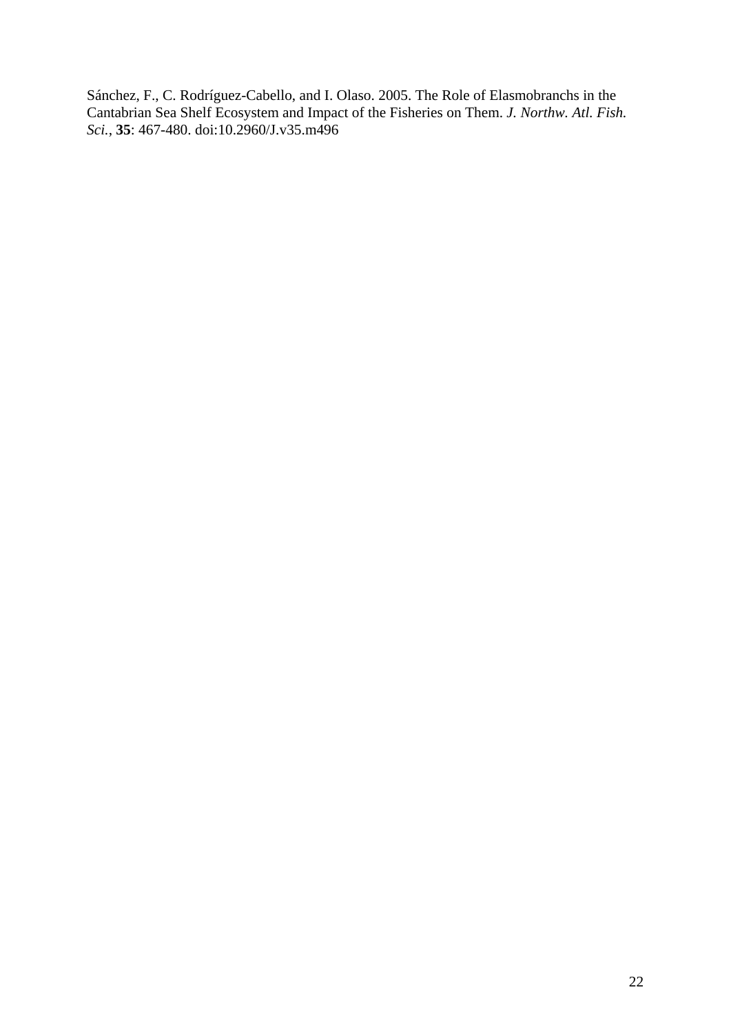Sánchez, F., C. Rodríguez-Cabello, and I. Olaso. 2005. The Role of Elasmobranchs in the Cantabrian Sea Shelf Ecosystem and Impact of the Fisheries on Them. *J. Northw. Atl. Fish. Sci.*, **35**: 467-480. doi:10.2960/J.v35.m496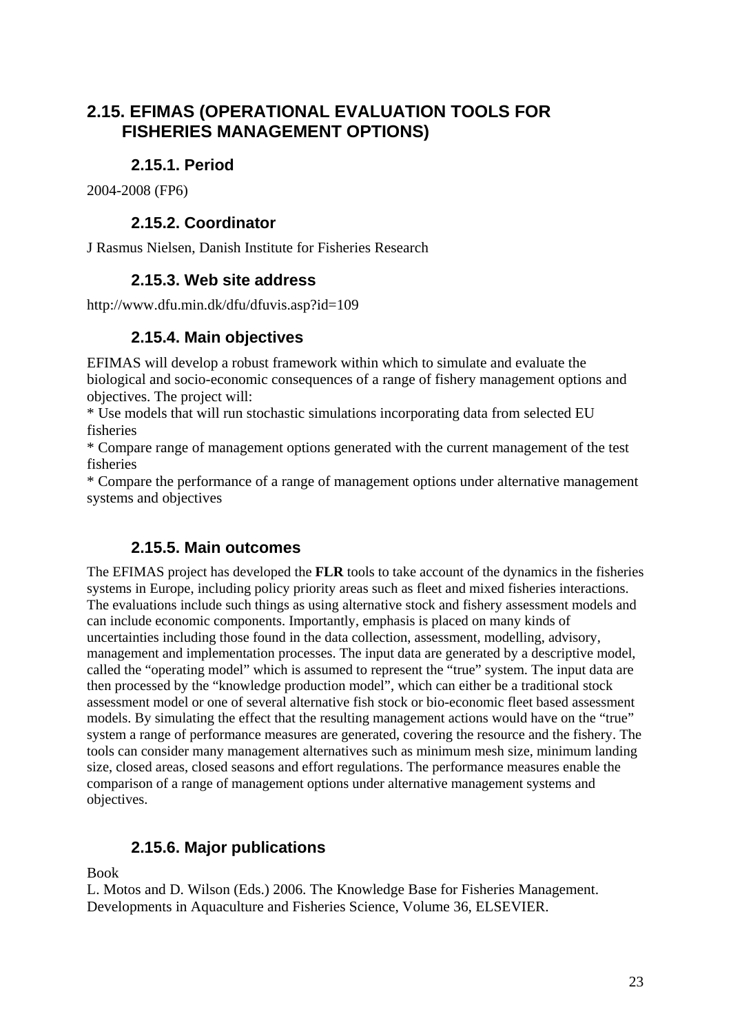# **2.15. EFIMAS (OPERATIONAL EVALUATION TOOLS FOR FISHERIES MANAGEMENT OPTIONS)**

#### **2.15.1. Period**

2004-2008 (FP6)

#### **2.15.2. Coordinator**

J Rasmus Nielsen, Danish Institute for Fisheries Research

#### **2.15.3. Web site address**

http://www.dfu.min.dk/dfu/dfuvis.asp?id=109

### **2.15.4. Main objectives**

EFIMAS will develop a robust framework within which to simulate and evaluate the biological and socio-economic consequences of a range of fishery management options and objectives. The project will:

\* Use models that will run stochastic simulations incorporating data from selected EU fisheries

\* Compare range of management options generated with the current management of the test fisheries

\* Compare the performance of a range of management options under alternative management systems and objectives

#### **2.15.5. Main outcomes**

The EFIMAS project has developed the **FLR** tools to take account of the dynamics in the fisheries systems in Europe, including policy priority areas such as fleet and mixed fisheries interactions. The evaluations include such things as using alternative stock and fishery assessment models and can include economic components. Importantly, emphasis is placed on many kinds of uncertainties including those found in the data collection, assessment, modelling, advisory, management and implementation processes. The input data are generated by a descriptive model, called the "operating model" which is assumed to represent the "true" system. The input data are then processed by the "knowledge production model", which can either be a traditional stock assessment model or one of several alternative fish stock or bio-economic fleet based assessment models. By simulating the effect that the resulting management actions would have on the "true" system a range of performance measures are generated, covering the resource and the fishery. The tools can consider many management alternatives such as minimum mesh size, minimum landing size, closed areas, closed seasons and effort regulations. The performance measures enable the comparison of a range of management options under alternative management systems and objectives.

### **2.15.6. Major publications**

Book

L. Motos and D. Wilson (Eds.) 2006. The Knowledge Base for Fisheries Management. Developments in Aquaculture and Fisheries Science, Volume 36, ELSEVIER.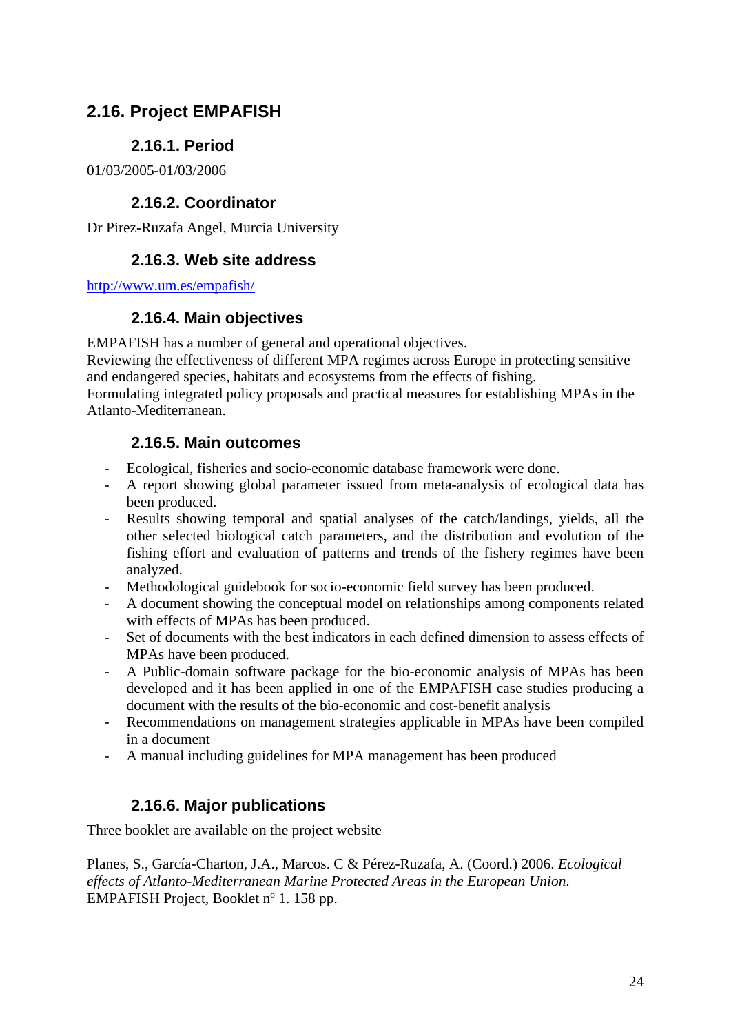# **2.16. Project EMPAFISH**

### **2.16.1. Period**

01/03/2005-01/03/2006

# **2.16.2. Coordinator**

Dr Pirez-Ruzafa Angel, Murcia University

# **2.16.3. Web site address**

http://www.um.es/empafish/

# **2.16.4. Main objectives**

EMPAFISH has a number of general and operational objectives.

Reviewing the effectiveness of different MPA regimes across Europe in protecting sensitive and endangered species, habitats and ecosystems from the effects of fishing.

Formulating integrated policy proposals and practical measures for establishing MPAs in the Atlanto-Mediterranean.

# **2.16.5. Main outcomes**

- Ecological, fisheries and socio-economic database framework were done.
- A report showing global parameter issued from meta-analysis of ecological data has been produced.
- Results showing temporal and spatial analyses of the catch/landings, yields, all the other selected biological catch parameters, and the distribution and evolution of the fishing effort and evaluation of patterns and trends of the fishery regimes have been analyzed.
- Methodological guidebook for socio-economic field survey has been produced.
- A document showing the conceptual model on relationships among components related with effects of MPAs has been produced.
- Set of documents with the best indicators in each defined dimension to assess effects of MPAs have been produced.
- A Public-domain software package for the bio-economic analysis of MPAs has been developed and it has been applied in one of the EMPAFISH case studies producing a document with the results of the bio-economic and cost-benefit analysis
- Recommendations on management strategies applicable in MPAs have been compiled in a document
- A manual including guidelines for MPA management has been produced

# **2.16.6. Major publications**

Three booklet are available on the project website

Planes, S., García-Charton, J.A., Marcos. C & Pérez-Ruzafa, A. (Coord.) 2006. *Ecological effects of Atlanto-Mediterranean Marine Protected Areas in the European Union*. EMPAFISH Project, Booklet nº 1. 158 pp.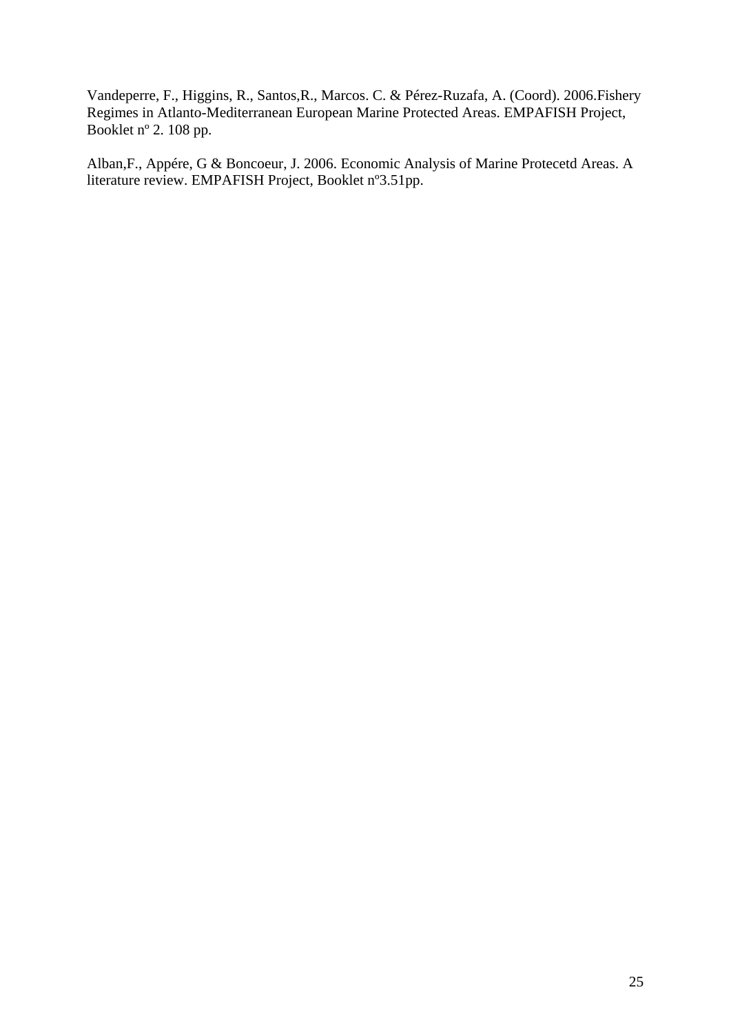Vandeperre, F., Higgins, R., Santos,R., Marcos. C. & Pérez-Ruzafa, A. (Coord). 2006.Fishery Regimes in Atlanto-Mediterranean European Marine Protected Areas. EMPAFISH Project, Booklet nº 2. 108 pp.

Alban,F., Appére, G & Boncoeur, J. 2006. Economic Analysis of Marine Protecetd Areas. A literature review. EMPAFISH Project, Booklet n°3.51pp.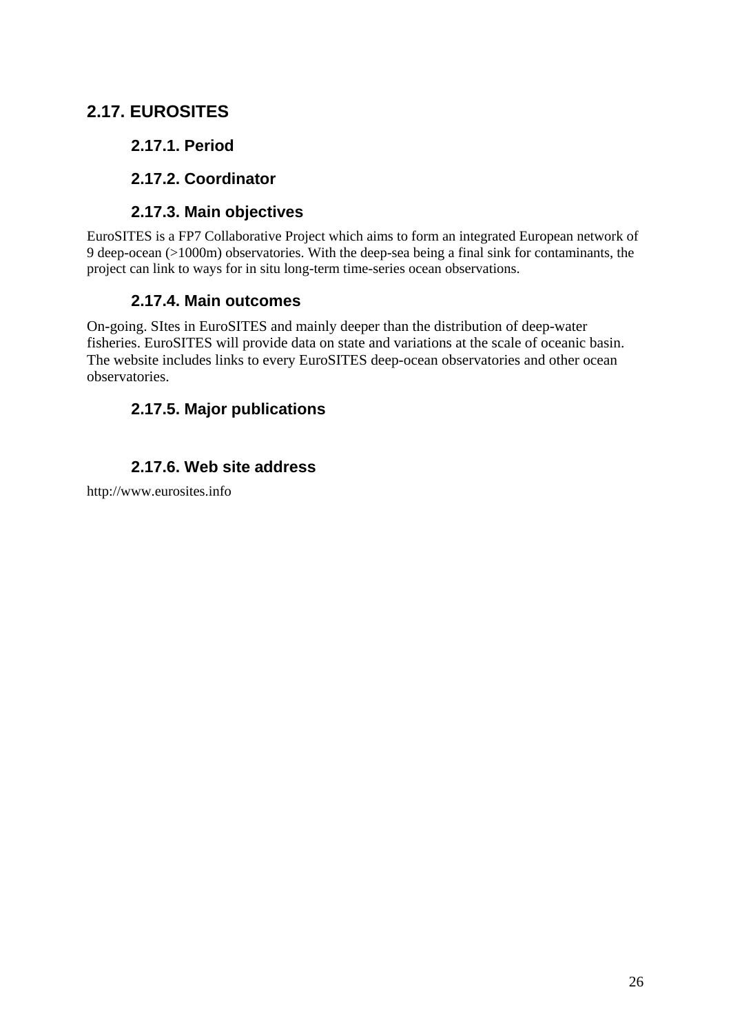# **2.17. EUROSITES**

# **2.17.1. Period**

# **2.17.2. Coordinator**

### **2.17.3. Main objectives**

EuroSITES is a FP7 Collaborative Project which aims to form an integrated European network of 9 deep-ocean (>1000m) observatories. With the deep-sea being a final sink for contaminants, the project can link to ways for in situ long-term time-series ocean observations.

# **2.17.4. Main outcomes**

On-going. SItes in EuroSITES and mainly deeper than the distribution of deep-water fisheries. EuroSITES will provide data on state and variations at the scale of oceanic basin. The website includes links to every EuroSITES deep-ocean observatories and other ocean observatories.

# **2.17.5. Major publications**

# **2.17.6. Web site address**

http://www.eurosites.info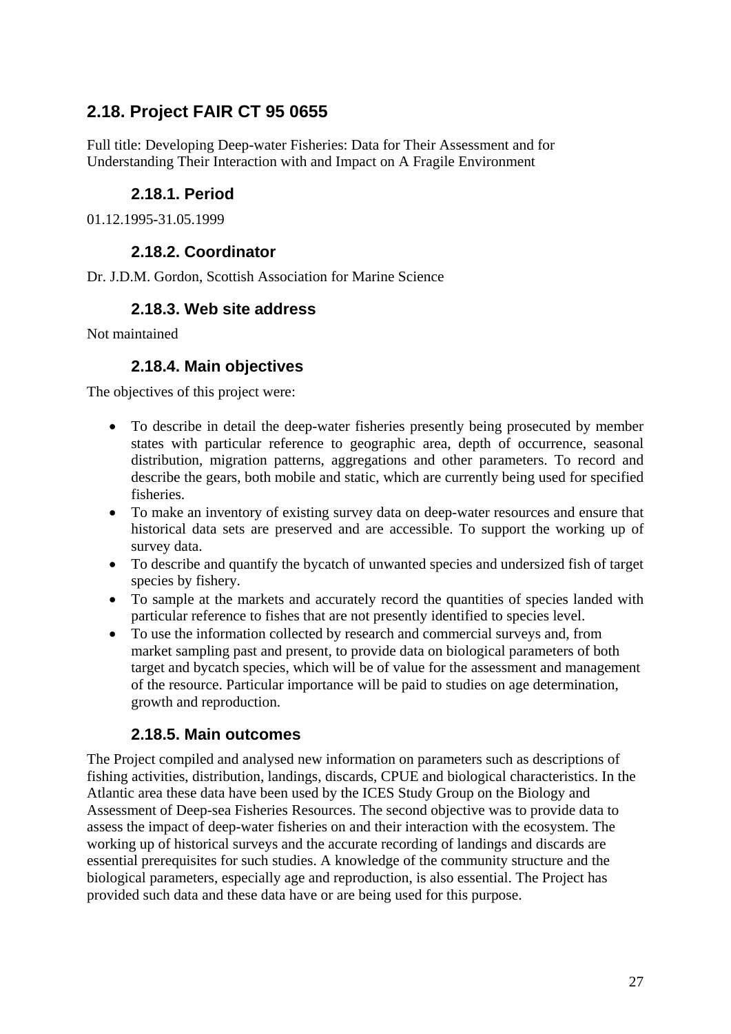# **2.18. Project FAIR CT 95 0655**

Full title: Developing Deep-water Fisheries: Data for Their Assessment and for Understanding Their Interaction with and Impact on A Fragile Environment

#### **2.18.1. Period**

01.12.1995-31.05.1999

#### **2.18.2. Coordinator**

Dr. J.D.M. Gordon, Scottish Association for Marine Science

#### **2.18.3. Web site address**

Not maintained

#### **2.18.4. Main objectives**

The objectives of this project were:

- To describe in detail the deep-water fisheries presently being prosecuted by member states with particular reference to geographic area, depth of occurrence, seasonal distribution, migration patterns, aggregations and other parameters. To record and describe the gears, both mobile and static, which are currently being used for specified fisheries.
- To make an inventory of existing survey data on deep-water resources and ensure that historical data sets are preserved and are accessible. To support the working up of survey data.
- To describe and quantify the bycatch of unwanted species and undersized fish of target species by fishery.
- To sample at the markets and accurately record the quantities of species landed with particular reference to fishes that are not presently identified to species level.
- To use the information collected by research and commercial surveys and, from market sampling past and present, to provide data on biological parameters of both target and bycatch species, which will be of value for the assessment and management of the resource. Particular importance will be paid to studies on age determination, growth and reproduction.

#### **2.18.5. Main outcomes**

The Project compiled and analysed new information on parameters such as descriptions of fishing activities, distribution, landings, discards, CPUE and biological characteristics. In the Atlantic area these data have been used by the ICES Study Group on the Biology and Assessment of Deep-sea Fisheries Resources. The second objective was to provide data to assess the impact of deep-water fisheries on and their interaction with the ecosystem. The working up of historical surveys and the accurate recording of landings and discards are essential prerequisites for such studies. A knowledge of the community structure and the biological parameters, especially age and reproduction, is also essential. The Project has provided such data and these data have or are being used for this purpose.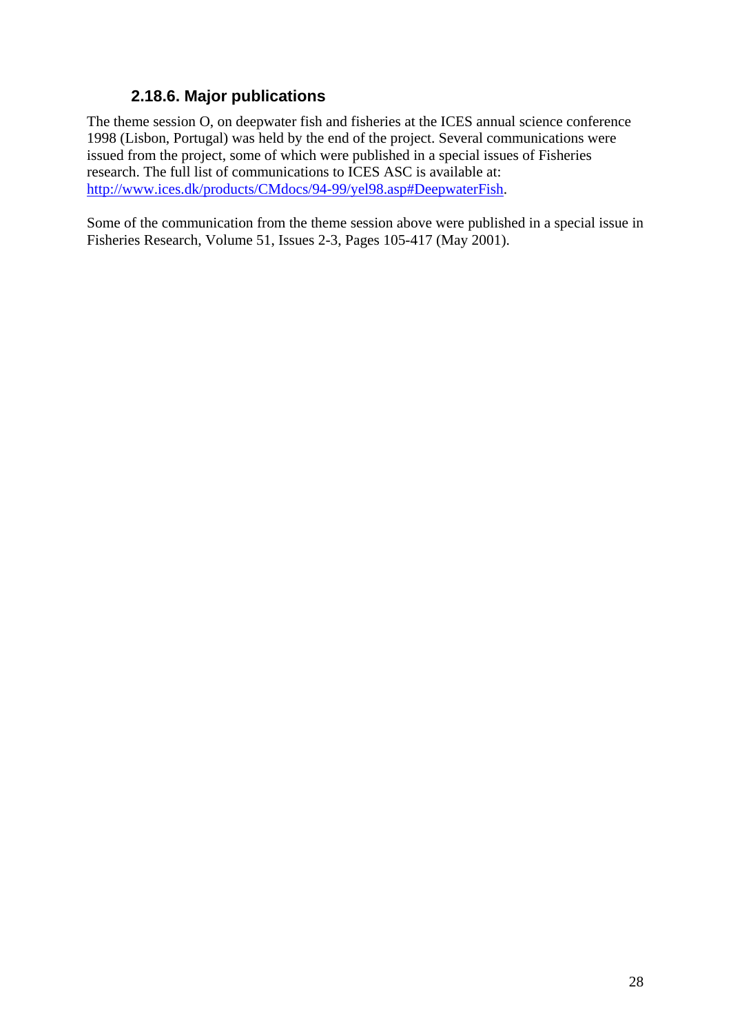### **2.18.6. Major publications**

The theme session O, on deepwater fish and fisheries at the ICES annual science conference 1998 (Lisbon, Portugal) was held by the end of the project. Several communications were issued from the project, some of which were published in a special issues of Fisheries research. The full list of communications to ICES ASC is available at: http://www.ices.dk/products/CMdocs/94-99/yel98.asp#DeepwaterFish.

Some of the communication from the theme session above were published in a special issue in Fisheries Research, Volume 51, Issues 2-3, Pages 105-417 (May 2001).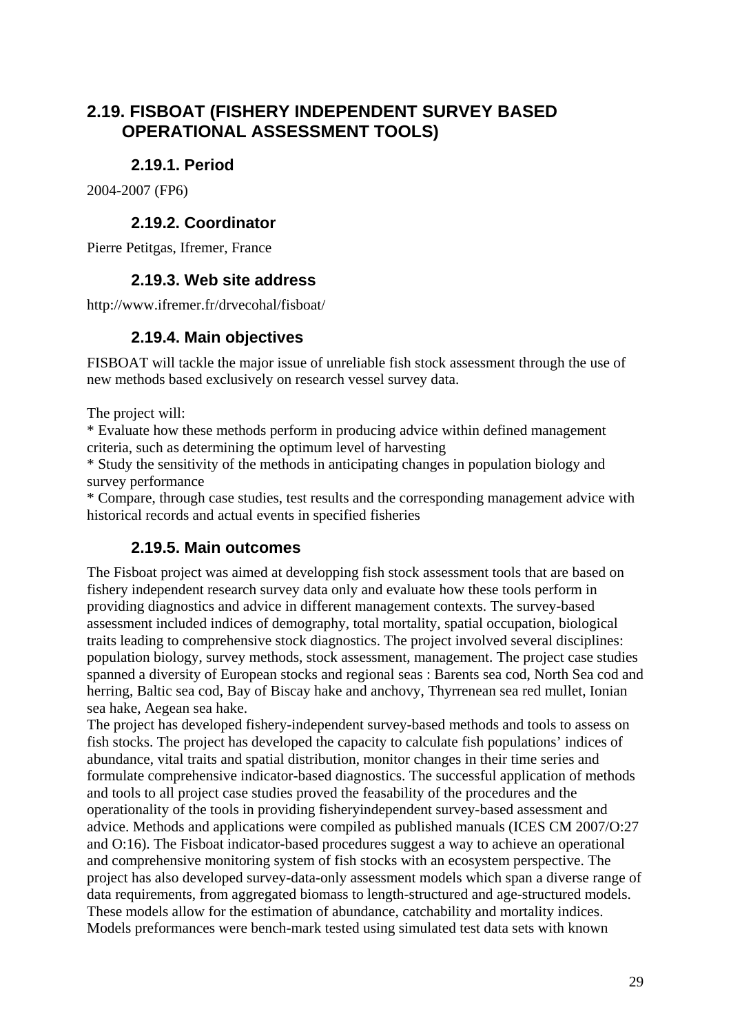# **2.19. FISBOAT (FISHERY INDEPENDENT SURVEY BASED OPERATIONAL ASSESSMENT TOOLS)**

#### **2.19.1. Period**

2004-2007 (FP6)

#### **2.19.2. Coordinator**

Pierre Petitgas, Ifremer, France

#### **2.19.3. Web site address**

http://www.ifremer.fr/drvecohal/fisboat/

#### **2.19.4. Main objectives**

FISBOAT will tackle the major issue of unreliable fish stock assessment through the use of new methods based exclusively on research vessel survey data.

The project will:

\* Evaluate how these methods perform in producing advice within defined management criteria, such as determining the optimum level of harvesting

\* Study the sensitivity of the methods in anticipating changes in population biology and survey performance

\* Compare, through case studies, test results and the corresponding management advice with historical records and actual events in specified fisheries

### **2.19.5. Main outcomes**

The Fisboat project was aimed at developping fish stock assessment tools that are based on fishery independent research survey data only and evaluate how these tools perform in providing diagnostics and advice in different management contexts. The survey-based assessment included indices of demography, total mortality, spatial occupation, biological traits leading to comprehensive stock diagnostics. The project involved several disciplines: population biology, survey methods, stock assessment, management. The project case studies spanned a diversity of European stocks and regional seas : Barents sea cod, North Sea cod and herring, Baltic sea cod, Bay of Biscay hake and anchovy, Thyrrenean sea red mullet, Ionian sea hake, Aegean sea hake.

The project has developed fishery-independent survey-based methods and tools to assess on fish stocks. The project has developed the capacity to calculate fish populations' indices of abundance, vital traits and spatial distribution, monitor changes in their time series and formulate comprehensive indicator-based diagnostics. The successful application of methods and tools to all project case studies proved the feasability of the procedures and the operationality of the tools in providing fisheryindependent survey-based assessment and advice. Methods and applications were compiled as published manuals (ICES CM 2007/O:27 and O:16). The Fisboat indicator-based procedures suggest a way to achieve an operational and comprehensive monitoring system of fish stocks with an ecosystem perspective. The project has also developed survey-data-only assessment models which span a diverse range of data requirements, from aggregated biomass to length-structured and age-structured models. These models allow for the estimation of abundance, catchability and mortality indices. Models preformances were bench-mark tested using simulated test data sets with known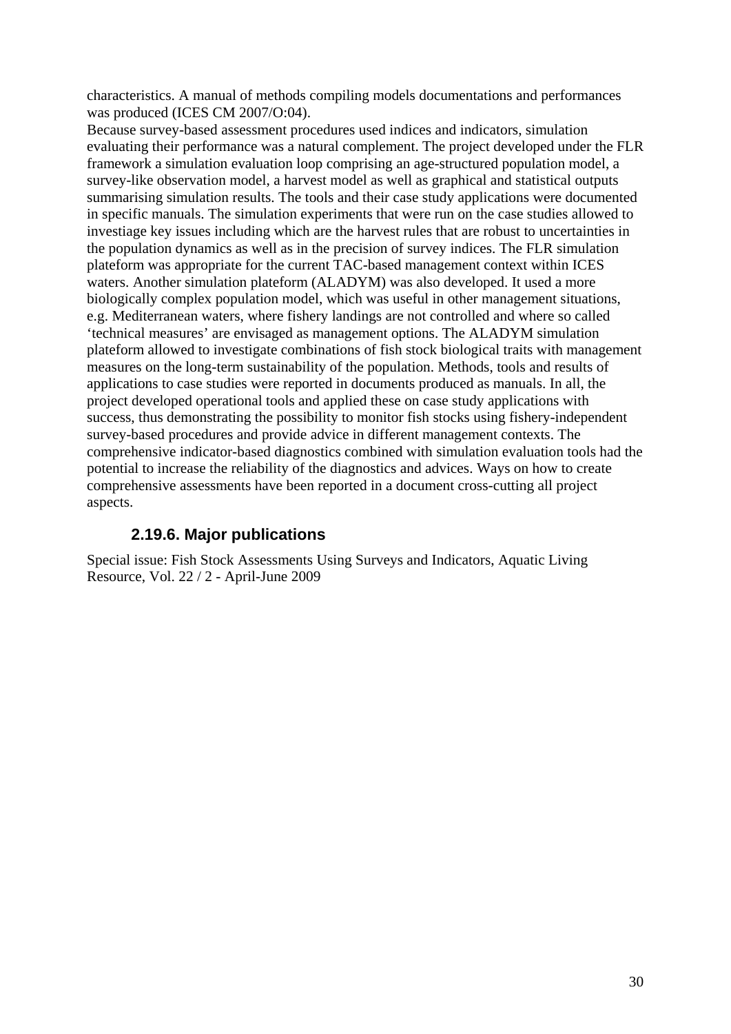characteristics. A manual of methods compiling models documentations and performances was produced (ICES CM 2007/O:04).

Because survey-based assessment procedures used indices and indicators, simulation evaluating their performance was a natural complement. The project developed under the FLR framework a simulation evaluation loop comprising an age-structured population model, a survey-like observation model, a harvest model as well as graphical and statistical outputs summarising simulation results. The tools and their case study applications were documented in specific manuals. The simulation experiments that were run on the case studies allowed to investiage key issues including which are the harvest rules that are robust to uncertainties in the population dynamics as well as in the precision of survey indices. The FLR simulation plateform was appropriate for the current TAC-based management context within ICES waters. Another simulation plateform (ALADYM) was also developed. It used a more biologically complex population model, which was useful in other management situations, e.g. Mediterranean waters, where fishery landings are not controlled and where so called 'technical measures' are envisaged as management options. The ALADYM simulation plateform allowed to investigate combinations of fish stock biological traits with management measures on the long-term sustainability of the population. Methods, tools and results of applications to case studies were reported in documents produced as manuals. In all, the project developed operational tools and applied these on case study applications with success, thus demonstrating the possibility to monitor fish stocks using fishery-independent survey-based procedures and provide advice in different management contexts. The comprehensive indicator-based diagnostics combined with simulation evaluation tools had the potential to increase the reliability of the diagnostics and advices. Ways on how to create comprehensive assessments have been reported in a document cross-cutting all project aspects.

#### **2.19.6. Major publications**

Special issue: Fish Stock Assessments Using Surveys and Indicators, Aquatic Living Resource, Vol. 22 / 2 - April-June 2009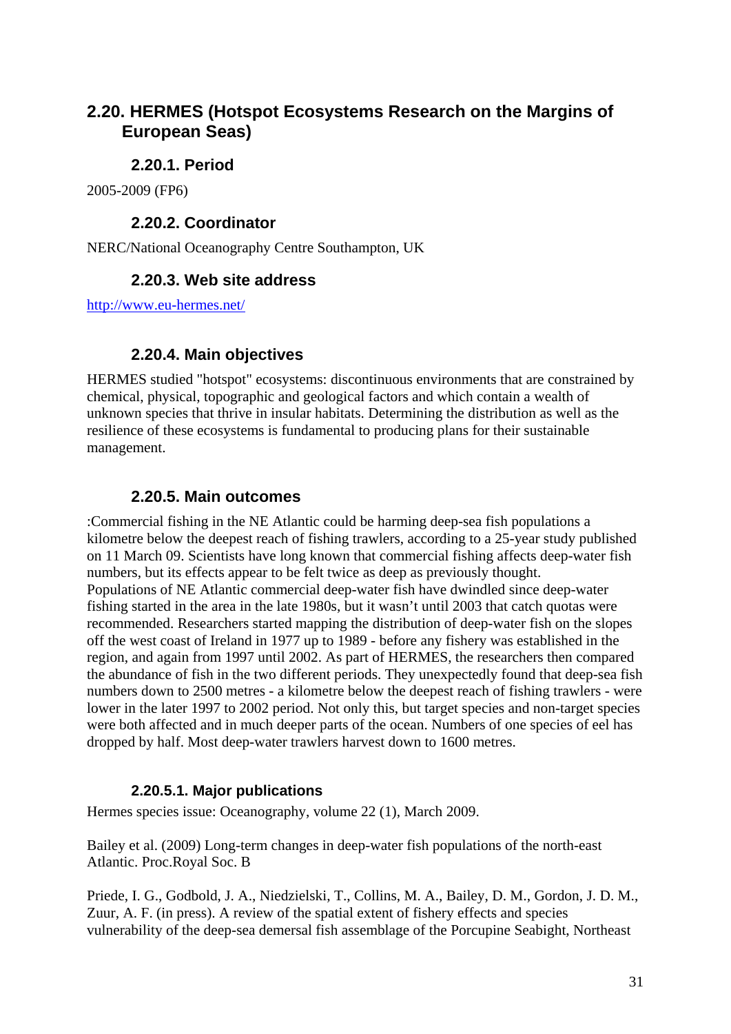# **2.20. HERMES (Hotspot Ecosystems Research on the Margins of European Seas)**

#### **2.20.1. Period**

2005-2009 (FP6)

#### **2.20.2. Coordinator**

NERC/National Oceanography Centre Southampton, UK

#### **2.20.3. Web site address**

http://www.eu-hermes.net/

#### **2.20.4. Main objectives**

HERMES studied "hotspot" ecosystems: discontinuous environments that are constrained by chemical, physical, topographic and geological factors and which contain a wealth of unknown species that thrive in insular habitats. Determining the distribution as well as the resilience of these ecosystems is fundamental to producing plans for their sustainable management.

#### **2.20.5. Main outcomes**

:Commercial fishing in the NE Atlantic could be harming deep-sea fish populations a kilometre below the deepest reach of fishing trawlers, according to a 25-year study published on 11 March 09. Scientists have long known that commercial fishing affects deep-water fish numbers, but its effects appear to be felt twice as deep as previously thought. Populations of NE Atlantic commercial deep-water fish have dwindled since deep-water fishing started in the area in the late 1980s, but it wasn't until 2003 that catch quotas were recommended. Researchers started mapping the distribution of deep-water fish on the slopes off the west coast of Ireland in 1977 up to 1989 - before any fishery was established in the region, and again from 1997 until 2002. As part of HERMES, the researchers then compared the abundance of fish in the two different periods. They unexpectedly found that deep-sea fish numbers down to 2500 metres - a kilometre below the deepest reach of fishing trawlers - were lower in the later 1997 to 2002 period. Not only this, but target species and non-target species were both affected and in much deeper parts of the ocean. Numbers of one species of eel has dropped by half. Most deep-water trawlers harvest down to 1600 metres.

#### **2.20.5.1. Major publications**

Hermes species issue: Oceanography, volume 22 (1), March 2009.

Bailey et al. (2009) Long-term changes in deep-water fish populations of the north-east Atlantic. Proc.Royal Soc. B

Priede, I. G., Godbold, J. A., Niedzielski, T., Collins, M. A., Bailey, D. M., Gordon, J. D. M., Zuur, A. F. (in press). A review of the spatial extent of fishery effects and species vulnerability of the deep-sea demersal fish assemblage of the Porcupine Seabight, Northeast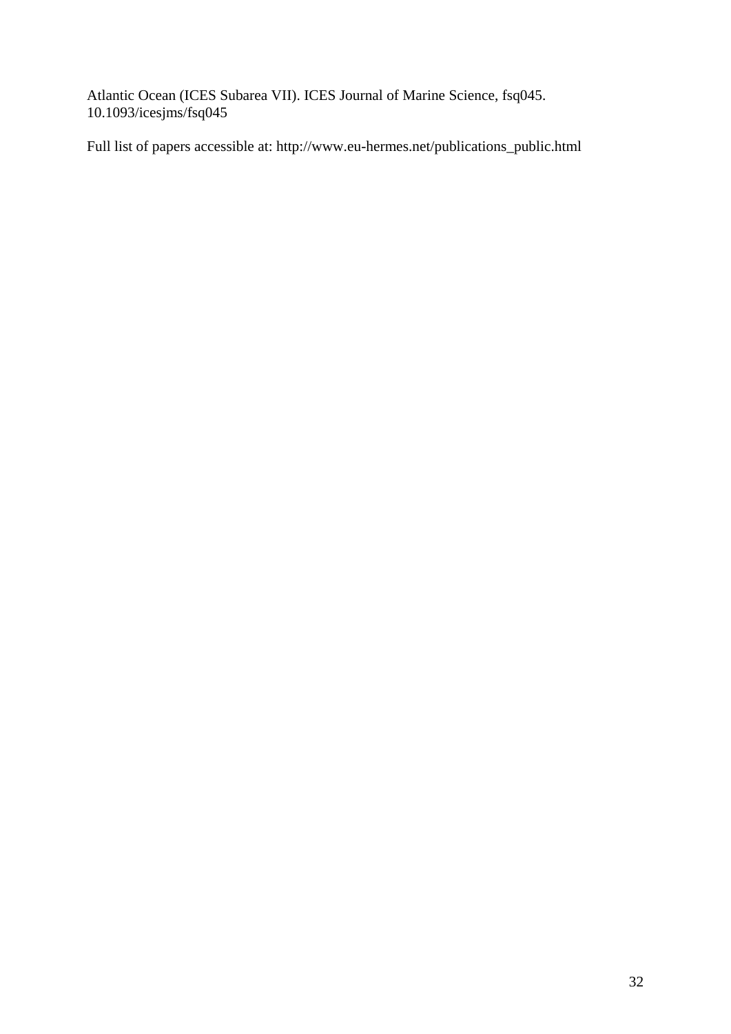Atlantic Ocean (ICES Subarea VII). ICES Journal of Marine Science, fsq045. 10.1093/icesjms/fsq045

Full list of papers accessible at: http://www.eu-hermes.net/publications\_public.html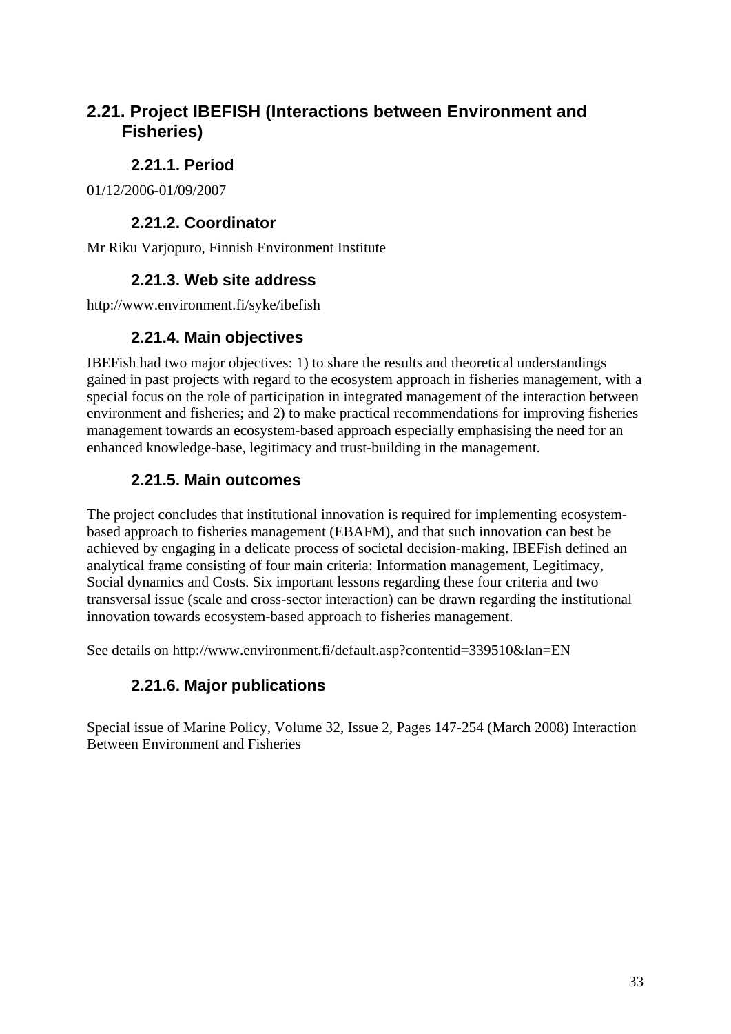# **2.21. Project IBEFISH (Interactions between Environment and Fisheries)**

#### **2.21.1. Period**

01/12/2006-01/09/2007

### **2.21.2. Coordinator**

Mr Riku Varjopuro, Finnish Environment Institute

### **2.21.3. Web site address**

http://www.environment.fi/syke/ibefish

# **2.21.4. Main objectives**

IBEFish had two major objectives: 1) to share the results and theoretical understandings gained in past projects with regard to the ecosystem approach in fisheries management, with a special focus on the role of participation in integrated management of the interaction between environment and fisheries; and 2) to make practical recommendations for improving fisheries management towards an ecosystem-based approach especially emphasising the need for an enhanced knowledge-base, legitimacy and trust-building in the management.

# **2.21.5. Main outcomes**

The project concludes that institutional innovation is required for implementing ecosystembased approach to fisheries management (EBAFM), and that such innovation can best be achieved by engaging in a delicate process of societal decision-making. IBEFish defined an analytical frame consisting of four main criteria: Information management, Legitimacy, Social dynamics and Costs. Six important lessons regarding these four criteria and two transversal issue (scale and cross-sector interaction) can be drawn regarding the institutional innovation towards ecosystem-based approach to fisheries management.

See details on http://www.environment.fi/default.asp?contentid=339510&lan=EN

# **2.21.6. Major publications**

Special issue of Marine Policy, Volume 32, Issue 2, Pages 147-254 (March 2008) Interaction Between Environment and Fisheries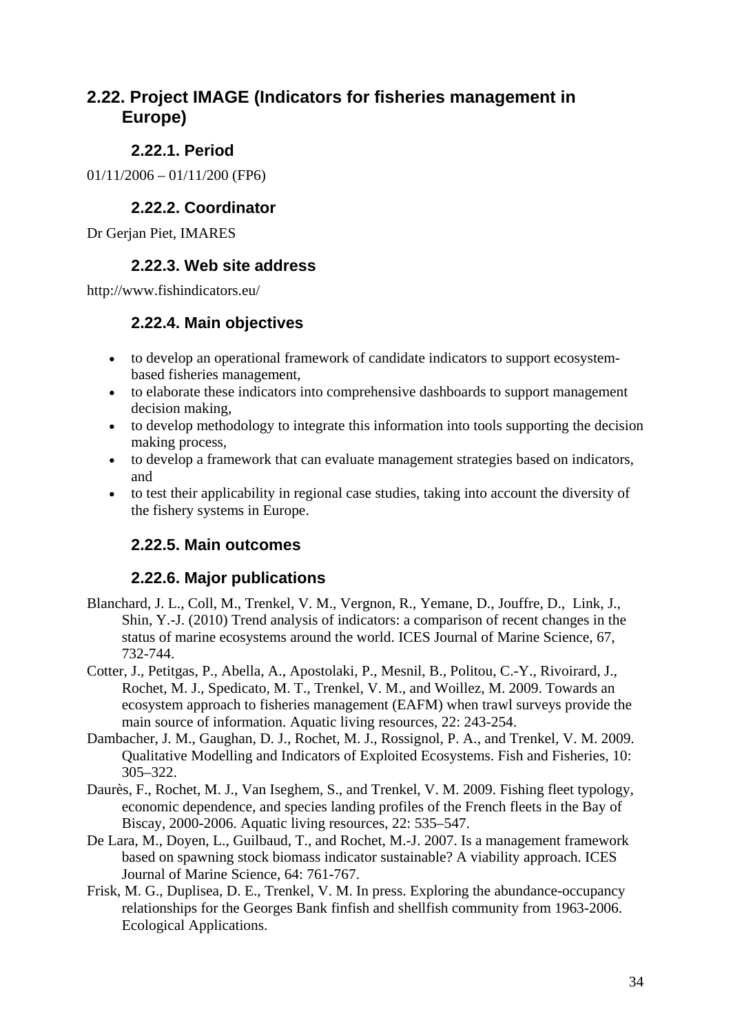# **2.22. Project IMAGE (Indicators for fisheries management in Europe)**

#### **2.22.1. Period**

 $01/11/2006 - 01/11/200$  (FP6)

#### **2.22.2. Coordinator**

Dr Gerjan Piet, IMARES

#### **2.22.3. Web site address**

http://www.fishindicators.eu/

### **2.22.4. Main objectives**

- to develop an operational framework of candidate indicators to support ecosystembased fisheries management,
- to elaborate these indicators into comprehensive dashboards to support management decision making,
- to develop methodology to integrate this information into tools supporting the decision making process,
- to develop a framework that can evaluate management strategies based on indicators, and
- to test their applicability in regional case studies, taking into account the diversity of the fishery systems in Europe.

### **2.22.5. Main outcomes**

### **2.22.6. Major publications**

- Blanchard, J. L., Coll, M., Trenkel, V. M., Vergnon, R., Yemane, D., Jouffre, D., Link, J., Shin, Y.-J. (2010) Trend analysis of indicators: a comparison of recent changes in the status of marine ecosystems around the world. ICES Journal of Marine Science, 67, 732-744.
- Cotter, J., Petitgas, P., Abella, A., Apostolaki, P., Mesnil, B., Politou, C.-Y., Rivoirard, J., Rochet, M. J., Spedicato, M. T., Trenkel, V. M., and Woillez, M. 2009. Towards an ecosystem approach to fisheries management (EAFM) when trawl surveys provide the main source of information. Aquatic living resources, 22: 243-254.
- Dambacher, J. M., Gaughan, D. J., Rochet, M. J., Rossignol, P. A., and Trenkel, V. M. 2009. Qualitative Modelling and Indicators of Exploited Ecosystems. Fish and Fisheries, 10: 305–322.
- Daurès, F., Rochet, M. J., Van Iseghem, S., and Trenkel, V. M. 2009. Fishing fleet typology, economic dependence, and species landing profiles of the French fleets in the Bay of Biscay, 2000-2006. Aquatic living resources, 22: 535–547.
- De Lara, M., Doyen, L., Guilbaud, T., and Rochet, M.-J. 2007. Is a management framework based on spawning stock biomass indicator sustainable? A viability approach. ICES Journal of Marine Science, 64: 761-767.
- Frisk, M. G., Duplisea, D. E., Trenkel, V. M. In press. Exploring the abundance-occupancy relationships for the Georges Bank finfish and shellfish community from 1963-2006. Ecological Applications.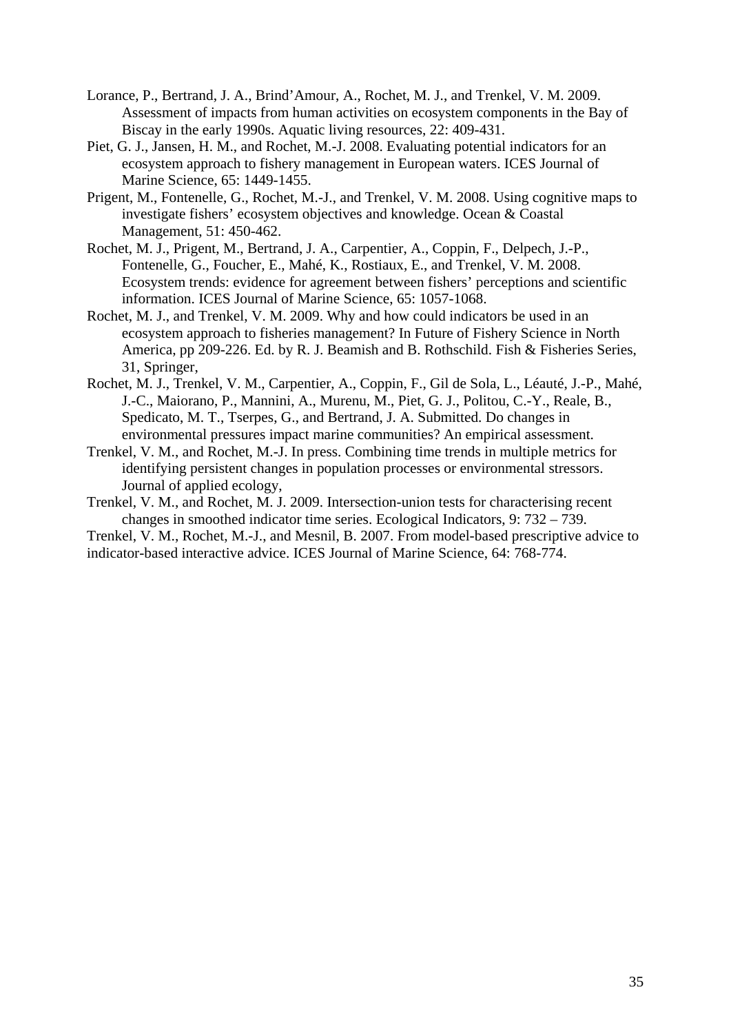- Lorance, P., Bertrand, J. A., Brind'Amour, A., Rochet, M. J., and Trenkel, V. M. 2009. Assessment of impacts from human activities on ecosystem components in the Bay of Biscay in the early 1990s. Aquatic living resources, 22: 409-431.
- Piet, G. J., Jansen, H. M., and Rochet, M.-J. 2008. Evaluating potential indicators for an ecosystem approach to fishery management in European waters. ICES Journal of Marine Science, 65: 1449-1455.
- Prigent, M., Fontenelle, G., Rochet, M.-J., and Trenkel, V. M. 2008. Using cognitive maps to investigate fishers' ecosystem objectives and knowledge. Ocean & Coastal Management, 51: 450-462.
- Rochet, M. J., Prigent, M., Bertrand, J. A., Carpentier, A., Coppin, F., Delpech, J.-P., Fontenelle, G., Foucher, E., Mahé, K., Rostiaux, E., and Trenkel, V. M. 2008. Ecosystem trends: evidence for agreement between fishers' perceptions and scientific information. ICES Journal of Marine Science, 65: 1057-1068.
- Rochet, M. J., and Trenkel, V. M. 2009. Why and how could indicators be used in an ecosystem approach to fisheries management? In Future of Fishery Science in North America, pp 209-226. Ed. by R. J. Beamish and B. Rothschild. Fish & Fisheries Series, 31, Springer,
- Rochet, M. J., Trenkel, V. M., Carpentier, A., Coppin, F., Gil de Sola, L., Léauté, J.-P., Mahé, J.-C., Maiorano, P., Mannini, A., Murenu, M., Piet, G. J., Politou, C.-Y., Reale, B., Spedicato, M. T., Tserpes, G., and Bertrand, J. A. Submitted. Do changes in environmental pressures impact marine communities? An empirical assessment.
- Trenkel, V. M., and Rochet, M.-J. In press. Combining time trends in multiple metrics for identifying persistent changes in population processes or environmental stressors. Journal of applied ecology,
- Trenkel, V. M., and Rochet, M. J. 2009. Intersection-union tests for characterising recent changes in smoothed indicator time series. Ecological Indicators, 9: 732 – 739.

Trenkel, V. M., Rochet, M.-J., and Mesnil, B. 2007. From model-based prescriptive advice to indicator-based interactive advice. ICES Journal of Marine Science, 64: 768-774.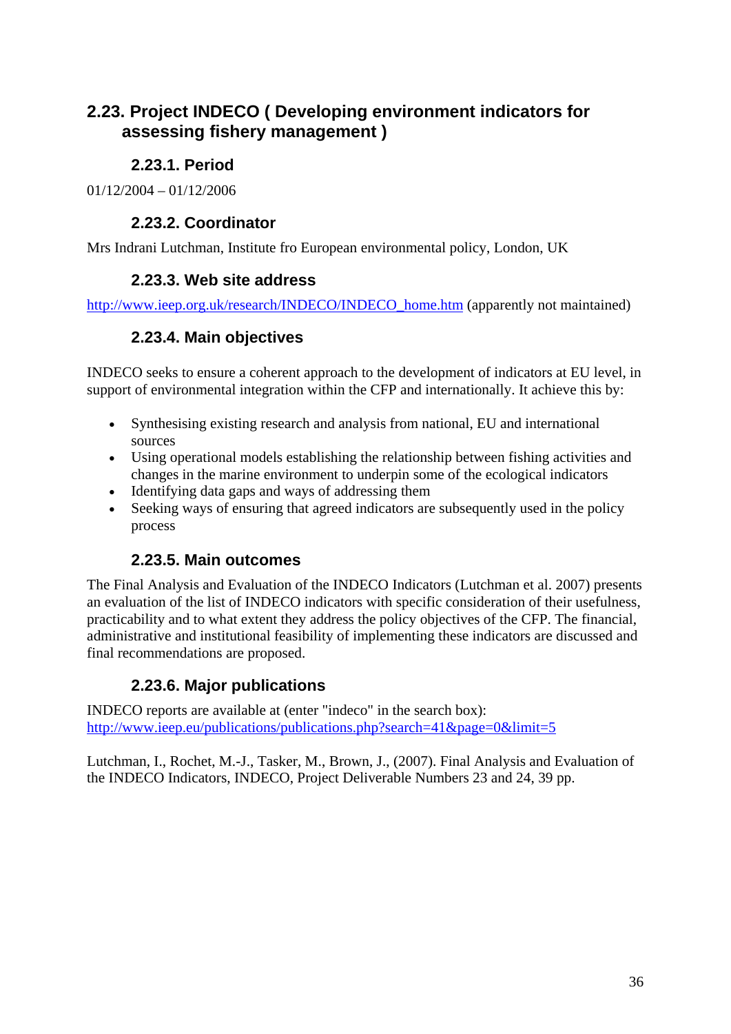# **2.23. Project INDECO ( Developing environment indicators for assessing fishery management )**

# **2.23.1. Period**

01/12/2004 – 01/12/2006

### **2.23.2. Coordinator**

Mrs Indrani Lutchman, Institute fro European environmental policy, London, UK

### **2.23.3. Web site address**

http://www.ieep.org.uk/research/INDECO/INDECO\_home.htm (apparently not maintained)

### **2.23.4. Main objectives**

INDECO seeks to ensure a coherent approach to the development of indicators at EU level, in support of environmental integration within the CFP and internationally. It achieve this by:

- Synthesising existing research and analysis from national, EU and international sources
- Using operational models establishing the relationship between fishing activities and changes in the marine environment to underpin some of the ecological indicators
- Identifying data gaps and ways of addressing them
- Seeking ways of ensuring that agreed indicators are subsequently used in the policy process

### **2.23.5. Main outcomes**

The Final Analysis and Evaluation of the INDECO Indicators (Lutchman et al. 2007) presents an evaluation of the list of INDECO indicators with specific consideration of their usefulness, practicability and to what extent they address the policy objectives of the CFP. The financial, administrative and institutional feasibility of implementing these indicators are discussed and final recommendations are proposed.

### **2.23.6. Major publications**

INDECO reports are available at (enter "indeco" in the search box): http://www.ieep.eu/publications/publications.php?search=41&page=0&limit=5

Lutchman, I., Rochet, M.-J., Tasker, M., Brown, J., (2007). Final Analysis and Evaluation of the INDECO Indicators, INDECO, Project Deliverable Numbers 23 and 24, 39 pp.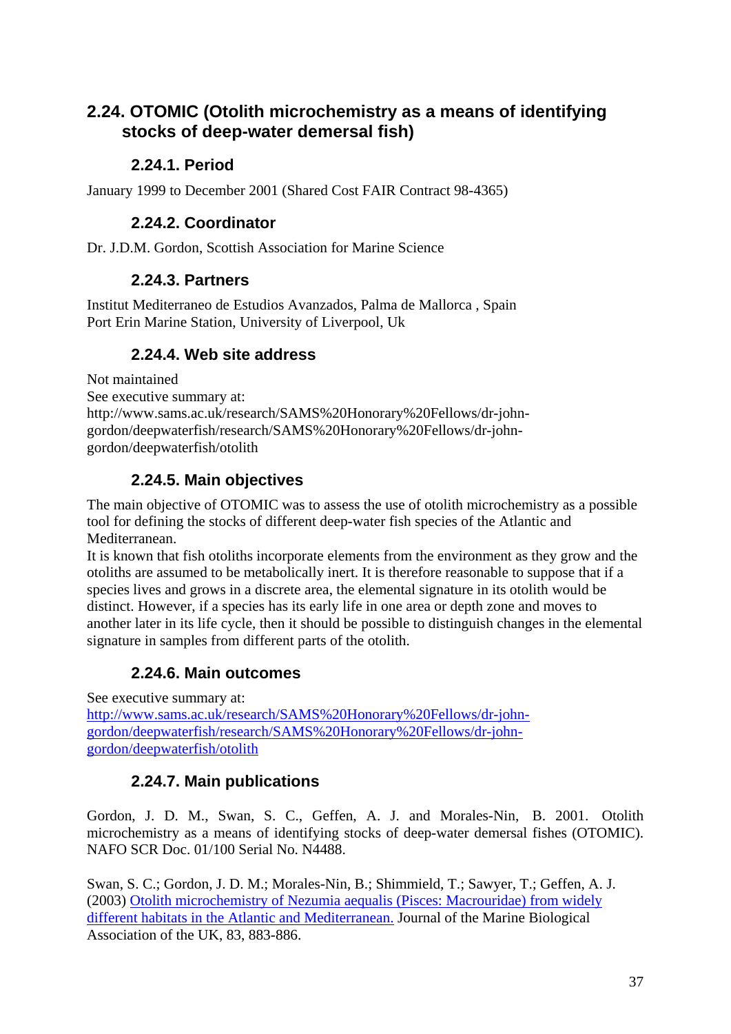# **2.24. OTOMIC (Otolith microchemistry as a means of identifying stocks of deep-water demersal fish)**

### **2.24.1. Period**

January 1999 to December 2001 (Shared Cost FAIR Contract 98-4365)

# **2.24.2. Coordinator**

Dr. J.D.M. Gordon, Scottish Association for Marine Science

#### **2.24.3. Partners**

Institut Mediterraneo de Estudios Avanzados, Palma de Mallorca , Spain Port Erin Marine Station, University of Liverpool, Uk

### **2.24.4. Web site address**

Not maintained See executive summary at: http://www.sams.ac.uk/research/SAMS%20Honorary%20Fellows/dr-johngordon/deepwaterfish/research/SAMS%20Honorary%20Fellows/dr-johngordon/deepwaterfish/otolith

# **2.24.5. Main objectives**

The main objective of OTOMIC was to assess the use of otolith microchemistry as a possible tool for defining the stocks of different deep-water fish species of the Atlantic and Mediterranean.

It is known that fish otoliths incorporate elements from the environment as they grow and the otoliths are assumed to be metabolically inert. It is therefore reasonable to suppose that if a species lives and grows in a discrete area, the elemental signature in its otolith would be distinct. However, if a species has its early life in one area or depth zone and moves to another later in its life cycle, then it should be possible to distinguish changes in the elemental signature in samples from different parts of the otolith.

### **2.24.6. Main outcomes**

See executive summary at: http://www.sams.ac.uk/research/SAMS%20Honorary%20Fellows/dr-johngordon/deepwaterfish/research/SAMS%20Honorary%20Fellows/dr-johngordon/deepwaterfish/otolith

# **2.24.7. Main publications**

Gordon, J. D. M., Swan, S. C., Geffen, A. J. and Morales-Nin, B. 2001. Otolith microchemistry as a means of identifying stocks of deep-water demersal fishes (OTOMIC). NAFO SCR Doc. 01/100 Serial No. N4488.

Swan, S. C.; Gordon, J. D. M.; Morales-Nin, B.; Shimmield, T.; Sawyer, T.; Geffen, A. J. (2003) Otolith microchemistry of Nezumia aequalis (Pisces: Macrouridae) from widely different habitats in the Atlantic and Mediterranean. Journal of the Marine Biological Association of the UK, 83, 883-886.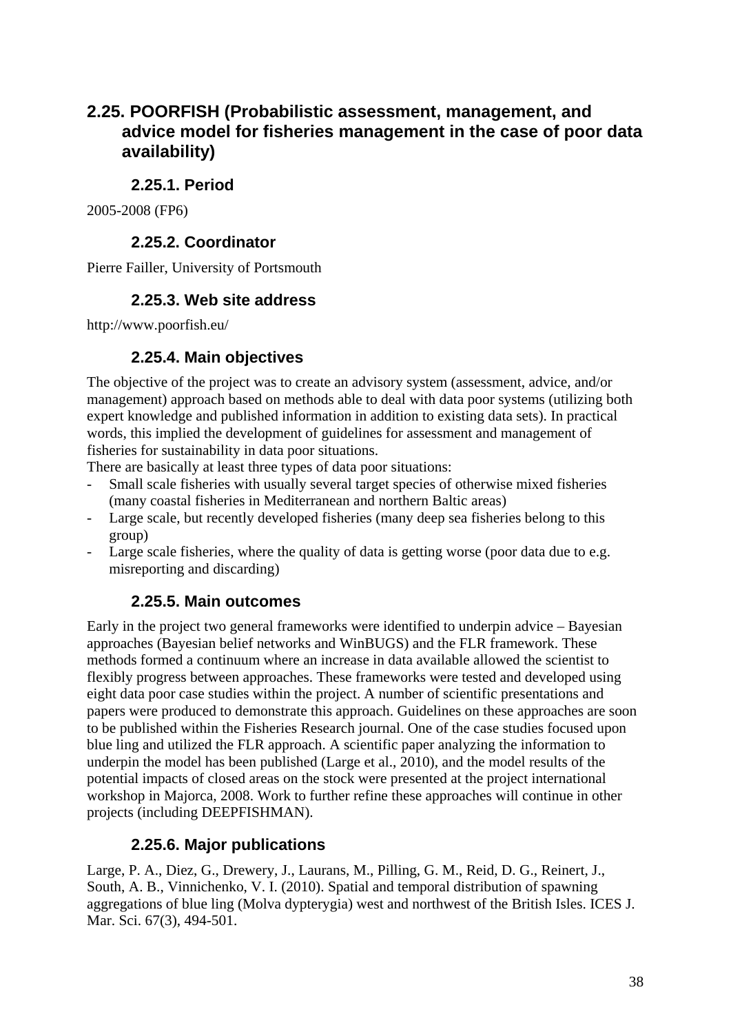# **2.25. POORFISH (Probabilistic assessment, management, and advice model for fisheries management in the case of poor data availability)**

### **2.25.1. Period**

2005-2008 (FP6)

# **2.25.2. Coordinator**

Pierre Failler, University of Portsmouth

### **2.25.3. Web site address**

http://www.poorfish.eu/

# **2.25.4. Main objectives**

The objective of the project was to create an advisory system (assessment, advice, and/or management) approach based on methods able to deal with data poor systems (utilizing both expert knowledge and published information in addition to existing data sets). In practical words, this implied the development of guidelines for assessment and management of fisheries for sustainability in data poor situations.

There are basically at least three types of data poor situations:

- Small scale fisheries with usually several target species of otherwise mixed fisheries (many coastal fisheries in Mediterranean and northern Baltic areas)
- Large scale, but recently developed fisheries (many deep sea fisheries belong to this group)
- Large scale fisheries, where the quality of data is getting worse (poor data due to e.g. misreporting and discarding)

### **2.25.5. Main outcomes**

Early in the project two general frameworks were identified to underpin advice – Bayesian approaches (Bayesian belief networks and WinBUGS) and the FLR framework. These methods formed a continuum where an increase in data available allowed the scientist to flexibly progress between approaches. These frameworks were tested and developed using eight data poor case studies within the project. A number of scientific presentations and papers were produced to demonstrate this approach. Guidelines on these approaches are soon to be published within the Fisheries Research journal. One of the case studies focused upon blue ling and utilized the FLR approach. A scientific paper analyzing the information to underpin the model has been published (Large et al., 2010), and the model results of the potential impacts of closed areas on the stock were presented at the project international workshop in Majorca, 2008. Work to further refine these approaches will continue in other projects (including DEEPFISHMAN).

### **2.25.6. Major publications**

Large, P. A., Diez, G., Drewery, J., Laurans, M., Pilling, G. M., Reid, D. G., Reinert, J., South, A. B., Vinnichenko, V. I. (2010). Spatial and temporal distribution of spawning aggregations of blue ling (Molva dypterygia) west and northwest of the British Isles. ICES J. Mar. Sci. 67(3), 494-501.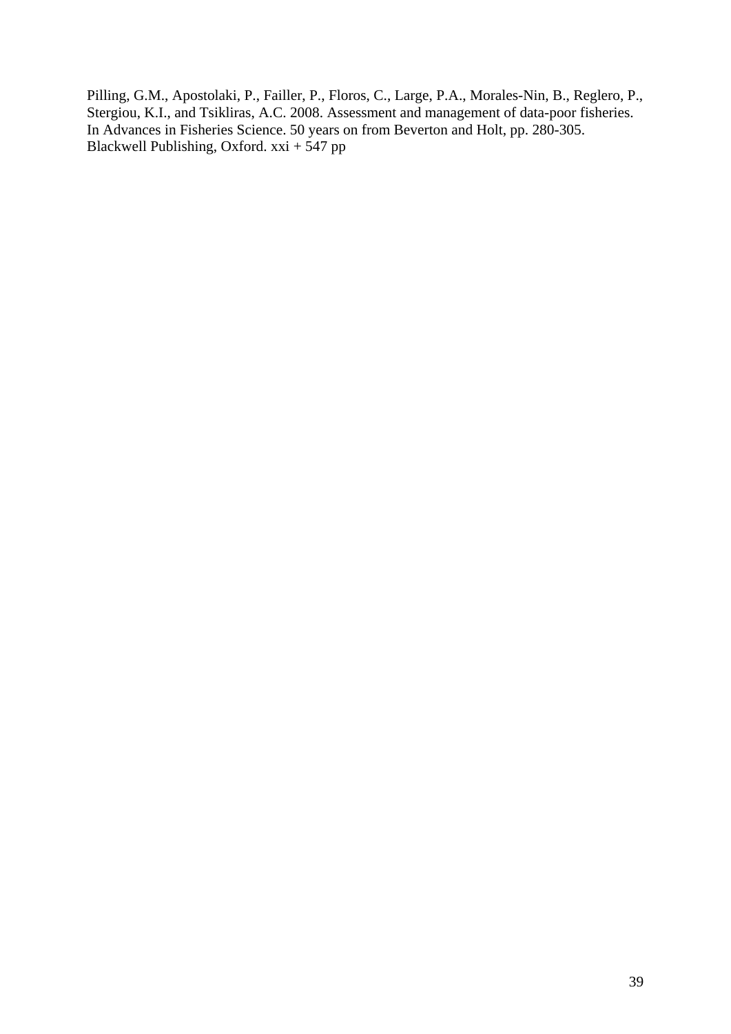Pilling, G.M., Apostolaki, P., Failler, P., Floros, C., Large, P.A., Morales-Nin, B., Reglero, P., Stergiou, K.I., and Tsikliras, A.C. 2008. Assessment and management of data-poor fisheries. In Advances in Fisheries Science. 50 years on from Beverton and Holt, pp. 280-305. Blackwell Publishing, Oxford. xxi + 547 pp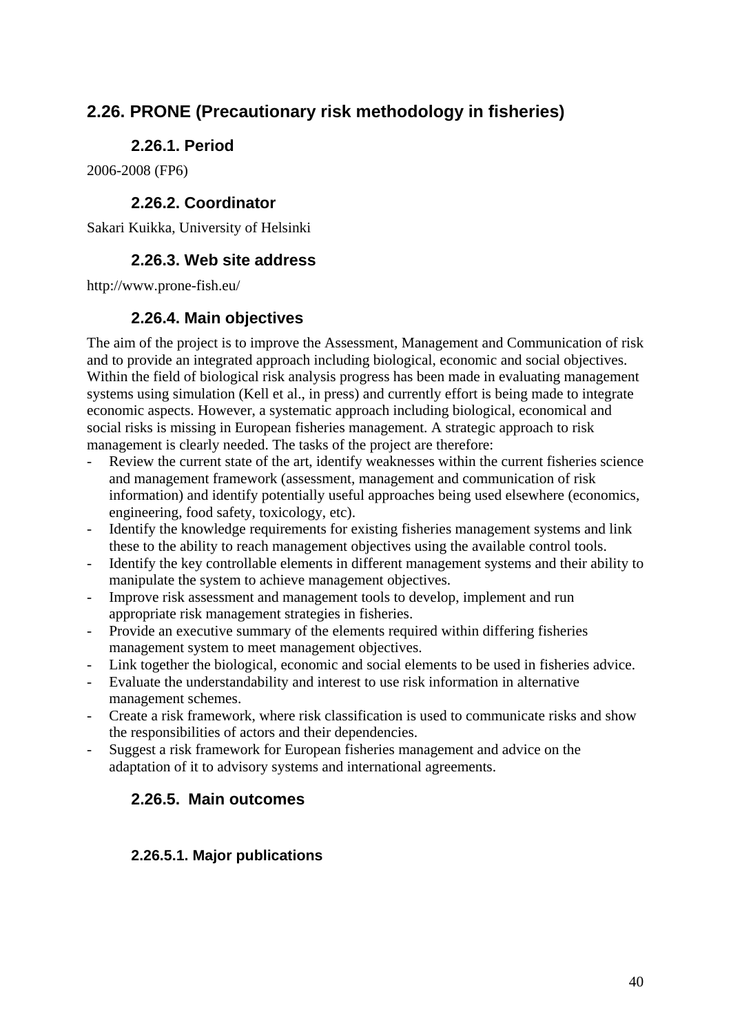# **2.26. PRONE (Precautionary risk methodology in fisheries)**

#### **2.26.1. Period**

2006-2008 (FP6)

#### **2.26.2. Coordinator**

Sakari Kuikka, University of Helsinki

#### **2.26.3. Web site address**

http://www.prone-fish.eu/

#### **2.26.4. Main objectives**

The aim of the project is to improve the Assessment, Management and Communication of risk and to provide an integrated approach including biological, economic and social objectives. Within the field of biological risk analysis progress has been made in evaluating management systems using simulation (Kell et al., in press) and currently effort is being made to integrate economic aspects. However, a systematic approach including biological, economical and social risks is missing in European fisheries management. A strategic approach to risk management is clearly needed. The tasks of the project are therefore:

- Review the current state of the art, identify weaknesses within the current fisheries science and management framework (assessment, management and communication of risk information) and identify potentially useful approaches being used elsewhere (economics, engineering, food safety, toxicology, etc).
- Identify the knowledge requirements for existing fisheries management systems and link these to the ability to reach management objectives using the available control tools.
- Identify the key controllable elements in different management systems and their ability to manipulate the system to achieve management objectives.
- Improve risk assessment and management tools to develop, implement and run appropriate risk management strategies in fisheries.
- Provide an executive summary of the elements required within differing fisheries management system to meet management objectives.
- Link together the biological, economic and social elements to be used in fisheries advice.
- Evaluate the understandability and interest to use risk information in alternative management schemes.
- Create a risk framework, where risk classification is used to communicate risks and show the responsibilities of actors and their dependencies.
- Suggest a risk framework for European fisheries management and advice on the adaptation of it to advisory systems and international agreements.

### **2.26.5. Main outcomes**

#### **2.26.5.1. Major publications**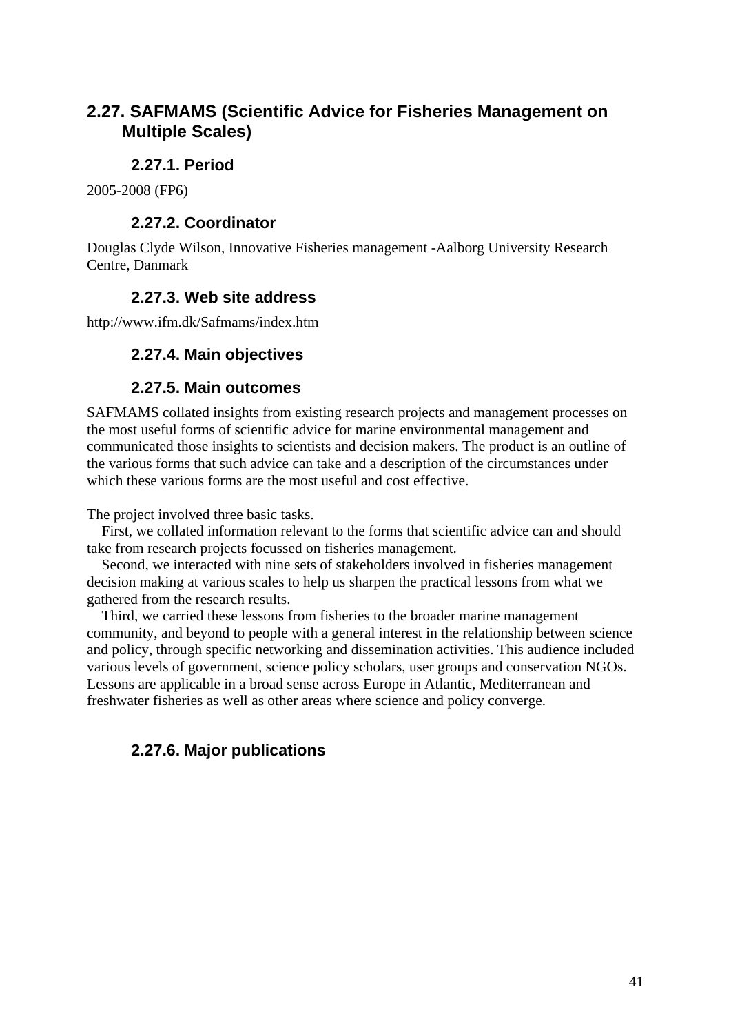# **2.27. SAFMAMS (Scientific Advice for Fisheries Management on Multiple Scales)**

#### **2.27.1. Period**

2005-2008 (FP6)

#### **2.27.2. Coordinator**

Douglas Clyde Wilson, Innovative Fisheries management -Aalborg University Research Centre, Danmark

#### **2.27.3. Web site address**

http://www.ifm.dk/Safmams/index.htm

#### **2.27.4. Main objectives**

#### **2.27.5. Main outcomes**

SAFMAMS collated insights from existing research projects and management processes on the most useful forms of scientific advice for marine environmental management and communicated those insights to scientists and decision makers. The product is an outline of the various forms that such advice can take and a description of the circumstances under which these various forms are the most useful and cost effective.

The project involved three basic tasks.

 First, we collated information relevant to the forms that scientific advice can and should take from research projects focussed on fisheries management.

 Second, we interacted with nine sets of stakeholders involved in fisheries management decision making at various scales to help us sharpen the practical lessons from what we gathered from the research results.

 Third, we carried these lessons from fisheries to the broader marine management community, and beyond to people with a general interest in the relationship between science and policy, through specific networking and dissemination activities. This audience included various levels of government, science policy scholars, user groups and conservation NGOs. Lessons are applicable in a broad sense across Europe in Atlantic, Mediterranean and freshwater fisheries as well as other areas where science and policy converge.

### **2.27.6. Major publications**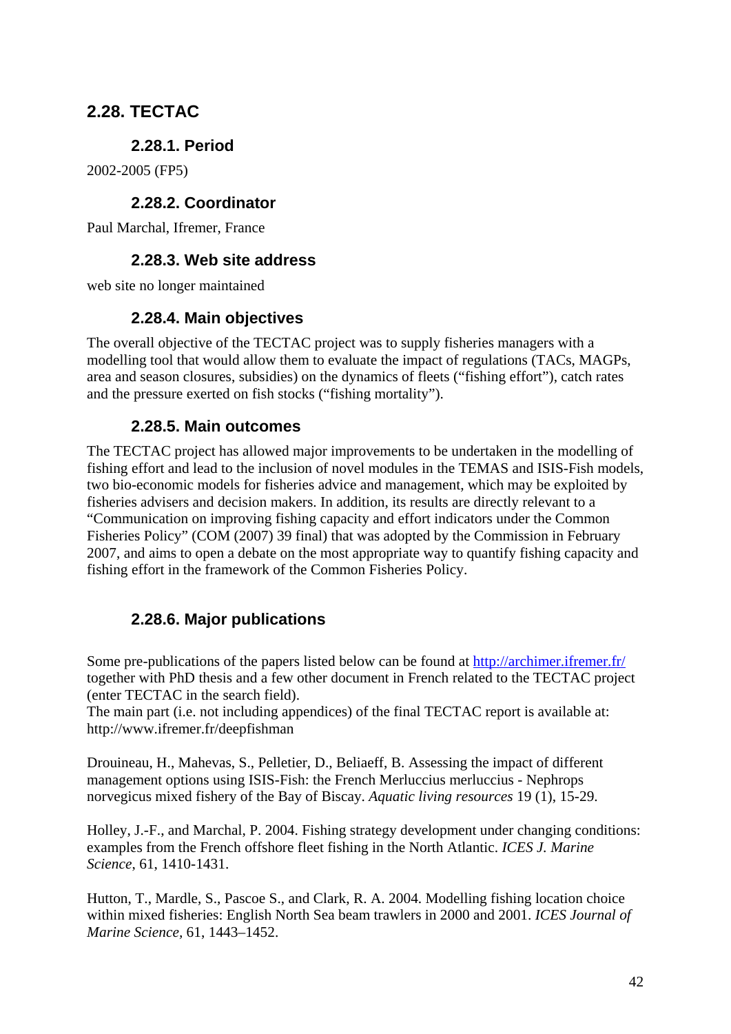# **2.28. TECTAC**

#### **2.28.1. Period**

2002-2005 (FP5)

#### **2.28.2. Coordinator**

Paul Marchal, Ifremer, France

#### **2.28.3. Web site address**

web site no longer maintained

#### **2.28.4. Main objectives**

The overall objective of the TECTAC project was to supply fisheries managers with a modelling tool that would allow them to evaluate the impact of regulations (TACs, MAGPs, area and season closures, subsidies) on the dynamics of fleets ("fishing effort"), catch rates and the pressure exerted on fish stocks ("fishing mortality").

#### **2.28.5. Main outcomes**

The TECTAC project has allowed major improvements to be undertaken in the modelling of fishing effort and lead to the inclusion of novel modules in the TEMAS and ISIS-Fish models, two bio-economic models for fisheries advice and management, which may be exploited by fisheries advisers and decision makers. In addition, its results are directly relevant to a "Communication on improving fishing capacity and effort indicators under the Common Fisheries Policy" (COM (2007) 39 final) that was adopted by the Commission in February 2007, and aims to open a debate on the most appropriate way to quantify fishing capacity and fishing effort in the framework of the Common Fisheries Policy.

### **2.28.6. Major publications**

Some pre-publications of the papers listed below can be found at http://archimer.ifremer.fr/ together with PhD thesis and a few other document in French related to the TECTAC project (enter TECTAC in the search field).

The main part (i.e. not including appendices) of the final TECTAC report is available at: http://www.ifremer.fr/deepfishman

Drouineau, H., Mahevas, S., Pelletier, D., Beliaeff, B. Assessing the impact of different management options using ISIS-Fish: the French Merluccius merluccius - Nephrops norvegicus mixed fishery of the Bay of Biscay. *Aquatic living resources* 19 (1), 15-29.

Holley, J.-F., and Marchal, P. 2004. Fishing strategy development under changing conditions: examples from the French offshore fleet fishing in the North Atlantic. *ICES J. Marine Science*, 61, 1410-1431.

Hutton, T., Mardle, S., Pascoe S., and Clark, R. A. 2004. Modelling fishing location choice within mixed fisheries: English North Sea beam trawlers in 2000 and 2001. *ICES Journal of Marine Science,* 61, 1443–1452.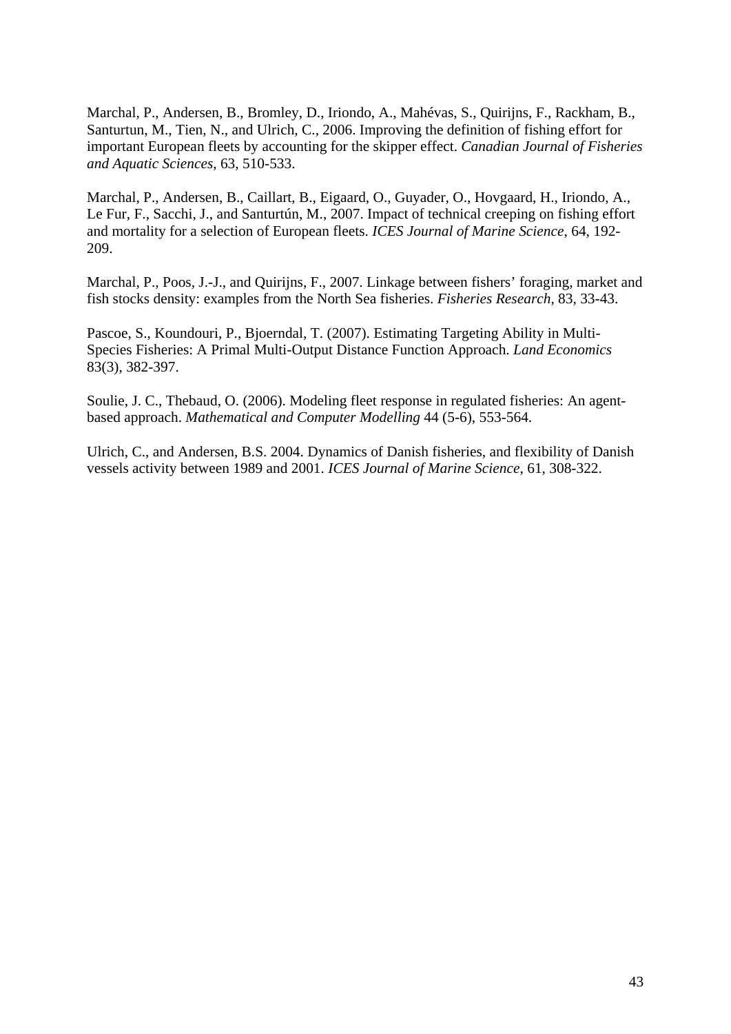Marchal, P., Andersen, B., Bromley, D., Iriondo, A., Mahévas, S., Quirijns, F., Rackham, B., Santurtun, M., Tien, N., and Ulrich, C., 2006. Improving the definition of fishing effort for important European fleets by accounting for the skipper effect. *Canadian Journal of Fisheries and Aquatic Sciences*, 63, 510-533.

Marchal, P., Andersen, B., Caillart, B., Eigaard, O., Guyader, O., Hovgaard, H., Iriondo, A., Le Fur, F., Sacchi, J., and Santurtún, M., 2007. Impact of technical creeping on fishing effort and mortality for a selection of European fleets. *ICES Journal of Marine Science*, 64, 192- 209.

Marchal, P., Poos, J.-J., and Quirijns, F., 2007. Linkage between fishers' foraging, market and fish stocks density: examples from the North Sea fisheries. *Fisheries Research*, 83, 33-43.

Pascoe, S., Koundouri, P., Bjoerndal, T. (2007). Estimating Targeting Ability in Multi-Species Fisheries: A Primal Multi-Output Distance Function Approach. *Land Economics*  83(3), 382-397.

Soulie, J. C., Thebaud, O. (2006). Modeling fleet response in regulated fisheries: An agentbased approach. *Mathematical and Computer Modelling* 44 (5-6), 553-564.

Ulrich, C., and Andersen, B.S. 2004. Dynamics of Danish fisheries, and flexibility of Danish vessels activity between 1989 and 2001. *ICES Journal of Marine Science*, 61, 308-322.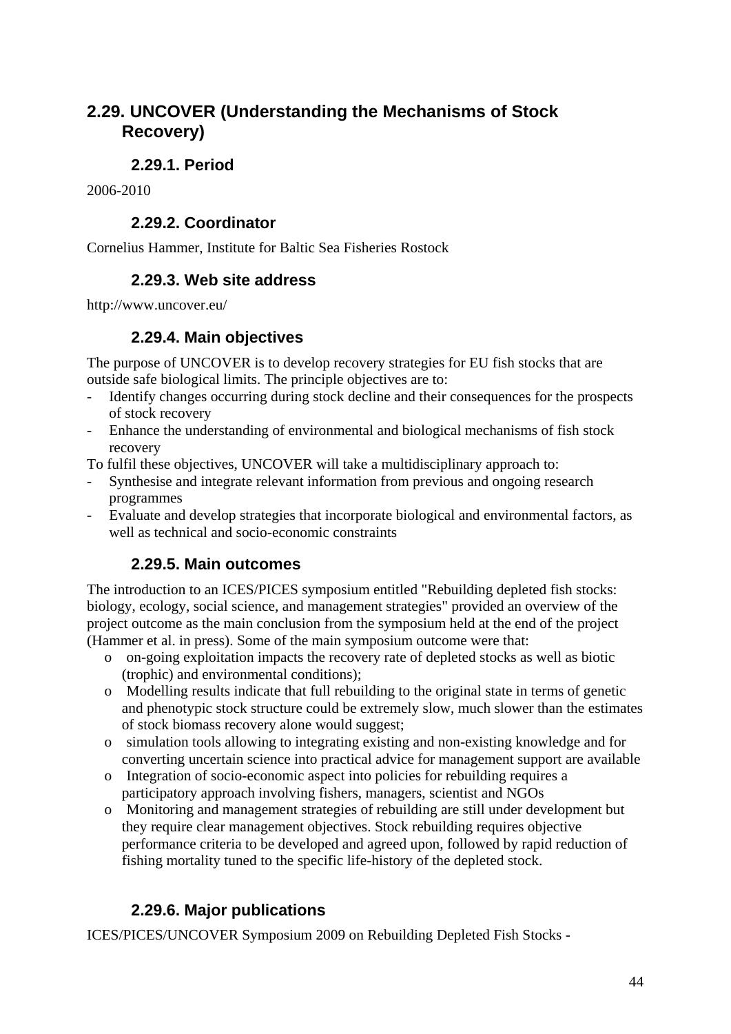# **2.29. UNCOVER (Understanding the Mechanisms of Stock Recovery)**

#### **2.29.1. Period**

2006-2010

### **2.29.2. Coordinator**

Cornelius Hammer, Institute for Baltic Sea Fisheries Rostock

### **2.29.3. Web site address**

http://www.uncover.eu/

#### **2.29.4. Main objectives**

The purpose of UNCOVER is to develop recovery strategies for EU fish stocks that are outside safe biological limits. The principle objectives are to:

- Identify changes occurring during stock decline and their consequences for the prospects of stock recovery
- Enhance the understanding of environmental and biological mechanisms of fish stock recovery

To fulfil these objectives, UNCOVER will take a multidisciplinary approach to:

- Synthesise and integrate relevant information from previous and ongoing research programmes
- Evaluate and develop strategies that incorporate biological and environmental factors, as well as technical and socio-economic constraints

### **2.29.5. Main outcomes**

The introduction to an ICES/PICES symposium entitled "Rebuilding depleted fish stocks: biology, ecology, social science, and management strategies" provided an overview of the project outcome as the main conclusion from the symposium held at the end of the project (Hammer et al. in press). Some of the main symposium outcome were that:

- o on-going exploitation impacts the recovery rate of depleted stocks as well as biotic (trophic) and environmental conditions);
- o Modelling results indicate that full rebuilding to the original state in terms of genetic and phenotypic stock structure could be extremely slow, much slower than the estimates of stock biomass recovery alone would suggest;
- o simulation tools allowing to integrating existing and non-existing knowledge and for converting uncertain science into practical advice for management support are available
- o Integration of socio-economic aspect into policies for rebuilding requires a participatory approach involving fishers, managers, scientist and NGOs
- o Monitoring and management strategies of rebuilding are still under development but they require clear management objectives. Stock rebuilding requires objective performance criteria to be developed and agreed upon, followed by rapid reduction of fishing mortality tuned to the specific life-history of the depleted stock.

# **2.29.6. Major publications**

ICES/PICES/UNCOVER Symposium 2009 on Rebuilding Depleted Fish Stocks -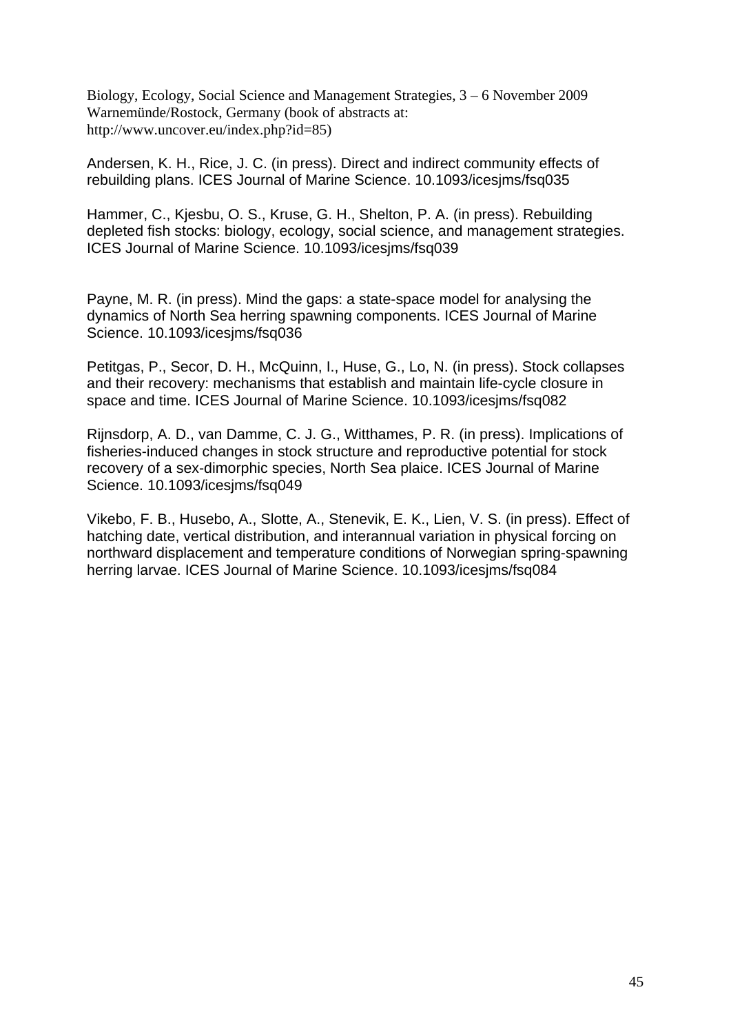Biology, Ecology, Social Science and Management Strategies, 3 – 6 November 2009 Warnemünde/Rostock, Germany (book of abstracts at: http://www.uncover.eu/index.php?id=85)

Andersen, K. H., Rice, J. C. (in press). Direct and indirect community effects of rebuilding plans. ICES Journal of Marine Science. 10.1093/icesjms/fsq035

Hammer, C., Kjesbu, O. S., Kruse, G. H., Shelton, P. A. (in press). Rebuilding depleted fish stocks: biology, ecology, social science, and management strategies. ICES Journal of Marine Science. 10.1093/icesjms/fsq039

Payne, M. R. (in press). Mind the gaps: a state-space model for analysing the dynamics of North Sea herring spawning components. ICES Journal of Marine Science. 10.1093/icesjms/fsq036

Petitgas, P., Secor, D. H., McQuinn, I., Huse, G., Lo, N. (in press). Stock collapses and their recovery: mechanisms that establish and maintain life-cycle closure in space and time. ICES Journal of Marine Science. 10.1093/icesjms/fsq082

Rijnsdorp, A. D., van Damme, C. J. G., Witthames, P. R. (in press). Implications of fisheries-induced changes in stock structure and reproductive potential for stock recovery of a sex-dimorphic species, North Sea plaice. ICES Journal of Marine Science. 10.1093/icesjms/fsq049

Vikebo, F. B., Husebo, A., Slotte, A., Stenevik, E. K., Lien, V. S. (in press). Effect of hatching date, vertical distribution, and interannual variation in physical forcing on northward displacement and temperature conditions of Norwegian spring-spawning herring larvae. ICES Journal of Marine Science. 10.1093/icesjms/fsq084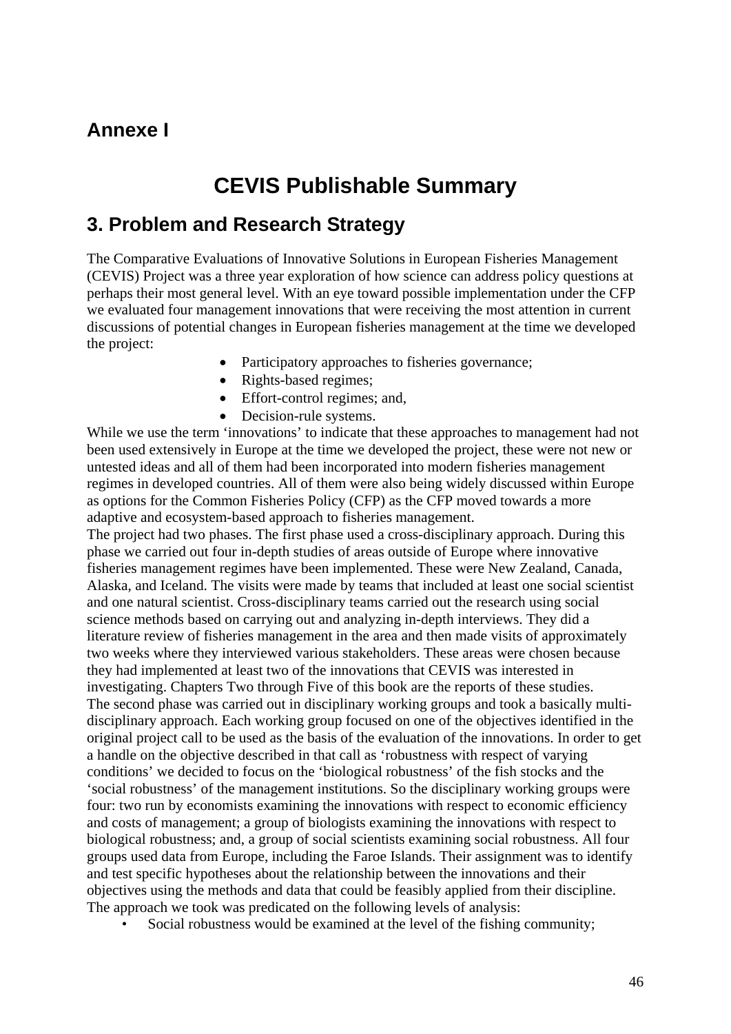# **Annexe I**

# **CEVIS Publishable Summary**

# **3. Problem and Research Strategy**

The Comparative Evaluations of Innovative Solutions in European Fisheries Management (CEVIS) Project was a three year exploration of how science can address policy questions at perhaps their most general level. With an eye toward possible implementation under the CFP we evaluated four management innovations that were receiving the most attention in current discussions of potential changes in European fisheries management at the time we developed the project:

- Participatory approaches to fisheries governance;
- Rights-based regimes;
- Effort-control regimes; and,
- Decision-rule systems.

While we use the term 'innovations' to indicate that these approaches to management had not been used extensively in Europe at the time we developed the project, these were not new or untested ideas and all of them had been incorporated into modern fisheries management regimes in developed countries. All of them were also being widely discussed within Europe as options for the Common Fisheries Policy (CFP) as the CFP moved towards a more adaptive and ecosystem-based approach to fisheries management.

The project had two phases. The first phase used a cross-disciplinary approach. During this phase we carried out four in-depth studies of areas outside of Europe where innovative fisheries management regimes have been implemented. These were New Zealand, Canada, Alaska, and Iceland. The visits were made by teams that included at least one social scientist and one natural scientist. Cross-disciplinary teams carried out the research using social science methods based on carrying out and analyzing in-depth interviews. They did a literature review of fisheries management in the area and then made visits of approximately two weeks where they interviewed various stakeholders. These areas were chosen because they had implemented at least two of the innovations that CEVIS was interested in investigating. Chapters Two through Five of this book are the reports of these studies. The second phase was carried out in disciplinary working groups and took a basically multidisciplinary approach. Each working group focused on one of the objectives identified in the original project call to be used as the basis of the evaluation of the innovations. In order to get a handle on the objective described in that call as 'robustness with respect of varying conditions' we decided to focus on the 'biological robustness' of the fish stocks and the 'social robustness' of the management institutions. So the disciplinary working groups were four: two run by economists examining the innovations with respect to economic efficiency and costs of management; a group of biologists examining the innovations with respect to biological robustness; and, a group of social scientists examining social robustness. All four groups used data from Europe, including the Faroe Islands. Their assignment was to identify and test specific hypotheses about the relationship between the innovations and their objectives using the methods and data that could be feasibly applied from their discipline. The approach we took was predicated on the following levels of analysis:

Social robustness would be examined at the level of the fishing community;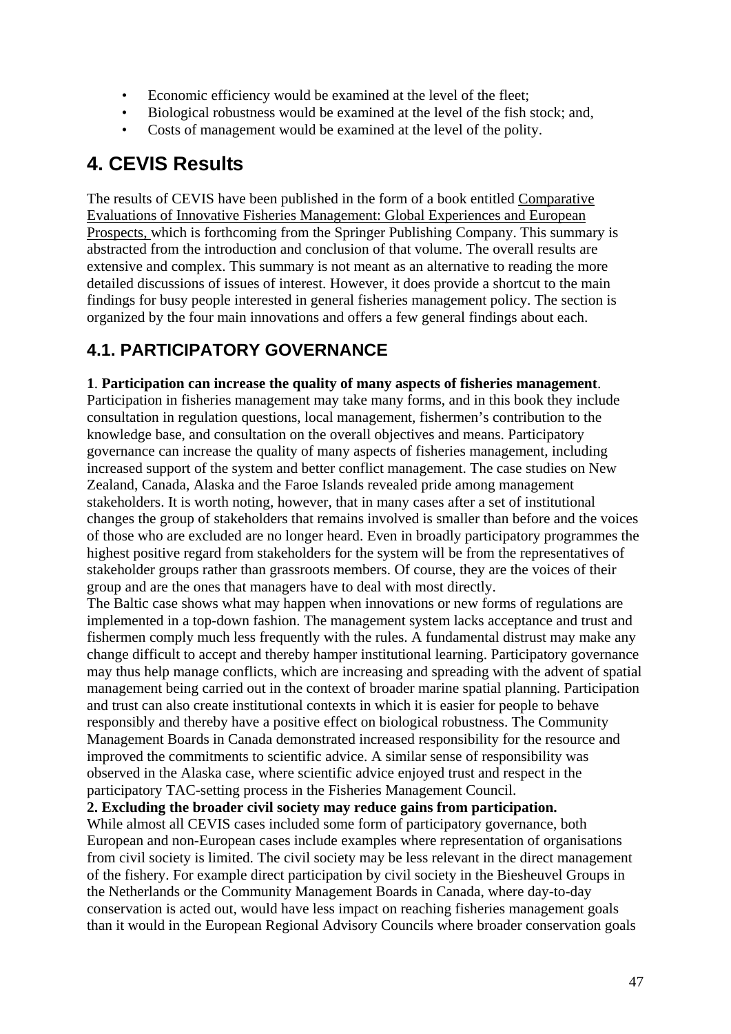- Economic efficiency would be examined at the level of the fleet;
- Biological robustness would be examined at the level of the fish stock; and,
- Costs of management would be examined at the level of the polity.

# **4. CEVIS Results**

The results of CEVIS have been published in the form of a book entitled Comparative Evaluations of Innovative Fisheries Management: Global Experiences and European Prospects, which is forthcoming from the Springer Publishing Company. This summary is abstracted from the introduction and conclusion of that volume. The overall results are extensive and complex. This summary is not meant as an alternative to reading the more detailed discussions of issues of interest. However, it does provide a shortcut to the main findings for busy people interested in general fisheries management policy. The section is organized by the four main innovations and offers a few general findings about each.

# **4.1. PARTICIPATORY GOVERNANCE**

**1**. **Participation can increase the quality of many aspects of fisheries management**. Participation in fisheries management may take many forms, and in this book they include consultation in regulation questions, local management, fishermen's contribution to the knowledge base, and consultation on the overall objectives and means. Participatory governance can increase the quality of many aspects of fisheries management, including increased support of the system and better conflict management. The case studies on New Zealand, Canada, Alaska and the Faroe Islands revealed pride among management stakeholders. It is worth noting, however, that in many cases after a set of institutional changes the group of stakeholders that remains involved is smaller than before and the voices of those who are excluded are no longer heard. Even in broadly participatory programmes the highest positive regard from stakeholders for the system will be from the representatives of stakeholder groups rather than grassroots members. Of course, they are the voices of their group and are the ones that managers have to deal with most directly.

The Baltic case shows what may happen when innovations or new forms of regulations are implemented in a top-down fashion. The management system lacks acceptance and trust and fishermen comply much less frequently with the rules. A fundamental distrust may make any change difficult to accept and thereby hamper institutional learning. Participatory governance may thus help manage conflicts, which are increasing and spreading with the advent of spatial management being carried out in the context of broader marine spatial planning. Participation and trust can also create institutional contexts in which it is easier for people to behave responsibly and thereby have a positive effect on biological robustness. The Community Management Boards in Canada demonstrated increased responsibility for the resource and improved the commitments to scientific advice. A similar sense of responsibility was observed in the Alaska case, where scientific advice enjoyed trust and respect in the participatory TAC-setting process in the Fisheries Management Council.

**2. Excluding the broader civil society may reduce gains from participation.** 

While almost all CEVIS cases included some form of participatory governance, both European and non-European cases include examples where representation of organisations from civil society is limited. The civil society may be less relevant in the direct management of the fishery. For example direct participation by civil society in the Biesheuvel Groups in the Netherlands or the Community Management Boards in Canada, where day-to-day conservation is acted out, would have less impact on reaching fisheries management goals than it would in the European Regional Advisory Councils where broader conservation goals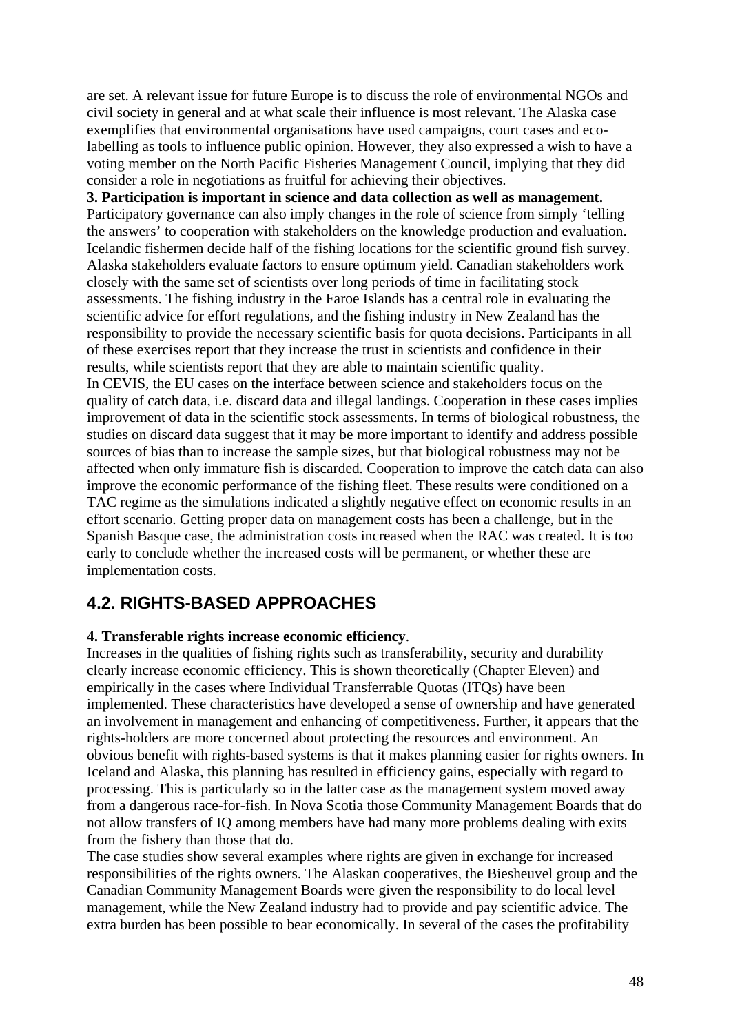are set. A relevant issue for future Europe is to discuss the role of environmental NGOs and civil society in general and at what scale their influence is most relevant. The Alaska case exemplifies that environmental organisations have used campaigns, court cases and ecolabelling as tools to influence public opinion. However, they also expressed a wish to have a voting member on the North Pacific Fisheries Management Council, implying that they did consider a role in negotiations as fruitful for achieving their objectives.

**3. Participation is important in science and data collection as well as management.**  Participatory governance can also imply changes in the role of science from simply 'telling the answers' to cooperation with stakeholders on the knowledge production and evaluation. Icelandic fishermen decide half of the fishing locations for the scientific ground fish survey. Alaska stakeholders evaluate factors to ensure optimum yield. Canadian stakeholders work closely with the same set of scientists over long periods of time in facilitating stock assessments. The fishing industry in the Faroe Islands has a central role in evaluating the scientific advice for effort regulations, and the fishing industry in New Zealand has the responsibility to provide the necessary scientific basis for quota decisions. Participants in all of these exercises report that they increase the trust in scientists and confidence in their results, while scientists report that they are able to maintain scientific quality.

In CEVIS, the EU cases on the interface between science and stakeholders focus on the quality of catch data, i.e. discard data and illegal landings. Cooperation in these cases implies improvement of data in the scientific stock assessments. In terms of biological robustness, the studies on discard data suggest that it may be more important to identify and address possible sources of bias than to increase the sample sizes, but that biological robustness may not be affected when only immature fish is discarded. Cooperation to improve the catch data can also improve the economic performance of the fishing fleet. These results were conditioned on a TAC regime as the simulations indicated a slightly negative effect on economic results in an effort scenario. Getting proper data on management costs has been a challenge, but in the Spanish Basque case, the administration costs increased when the RAC was created. It is too early to conclude whether the increased costs will be permanent, or whether these are implementation costs.

# **4.2. RIGHTS-BASED APPROACHES**

#### **4. Transferable rights increase economic efficiency**.

Increases in the qualities of fishing rights such as transferability, security and durability clearly increase economic efficiency. This is shown theoretically (Chapter Eleven) and empirically in the cases where Individual Transferrable Quotas (ITQs) have been implemented. These characteristics have developed a sense of ownership and have generated an involvement in management and enhancing of competitiveness. Further, it appears that the rights-holders are more concerned about protecting the resources and environment. An obvious benefit with rights-based systems is that it makes planning easier for rights owners. In Iceland and Alaska, this planning has resulted in efficiency gains, especially with regard to processing. This is particularly so in the latter case as the management system moved away from a dangerous race-for-fish. In Nova Scotia those Community Management Boards that do not allow transfers of IQ among members have had many more problems dealing with exits from the fishery than those that do.

The case studies show several examples where rights are given in exchange for increased responsibilities of the rights owners. The Alaskan cooperatives, the Biesheuvel group and the Canadian Community Management Boards were given the responsibility to do local level management, while the New Zealand industry had to provide and pay scientific advice. The extra burden has been possible to bear economically. In several of the cases the profitability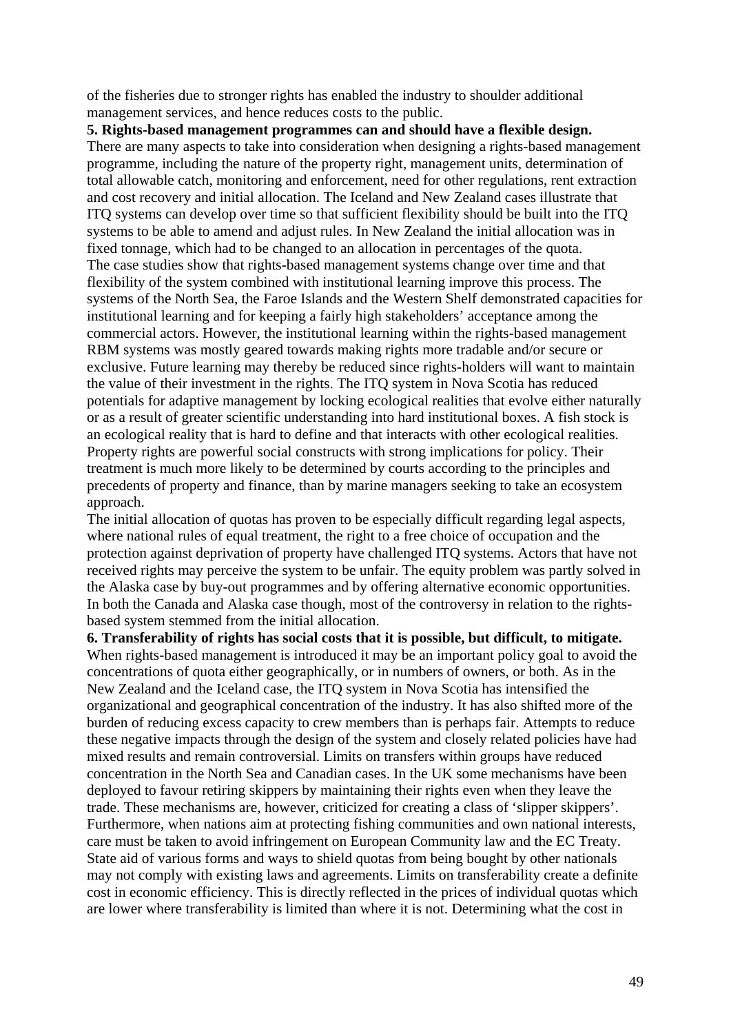of the fisheries due to stronger rights has enabled the industry to shoulder additional management services, and hence reduces costs to the public.

**5. Rights-based management programmes can and should have a flexible design.**  There are many aspects to take into consideration when designing a rights-based management programme, including the nature of the property right, management units, determination of total allowable catch, monitoring and enforcement, need for other regulations, rent extraction and cost recovery and initial allocation. The Iceland and New Zealand cases illustrate that ITQ systems can develop over time so that sufficient flexibility should be built into the ITQ systems to be able to amend and adjust rules. In New Zealand the initial allocation was in fixed tonnage, which had to be changed to an allocation in percentages of the quota. The case studies show that rights-based management systems change over time and that flexibility of the system combined with institutional learning improve this process. The systems of the North Sea, the Faroe Islands and the Western Shelf demonstrated capacities for institutional learning and for keeping a fairly high stakeholders' acceptance among the commercial actors. However, the institutional learning within the rights-based management RBM systems was mostly geared towards making rights more tradable and/or secure or exclusive. Future learning may thereby be reduced since rights-holders will want to maintain the value of their investment in the rights. The ITQ system in Nova Scotia has reduced potentials for adaptive management by locking ecological realities that evolve either naturally or as a result of greater scientific understanding into hard institutional boxes. A fish stock is an ecological reality that is hard to define and that interacts with other ecological realities. Property rights are powerful social constructs with strong implications for policy. Their treatment is much more likely to be determined by courts according to the principles and precedents of property and finance, than by marine managers seeking to take an ecosystem approach.

The initial allocation of quotas has proven to be especially difficult regarding legal aspects, where national rules of equal treatment, the right to a free choice of occupation and the protection against deprivation of property have challenged ITQ systems. Actors that have not received rights may perceive the system to be unfair. The equity problem was partly solved in the Alaska case by buy-out programmes and by offering alternative economic opportunities. In both the Canada and Alaska case though, most of the controversy in relation to the rightsbased system stemmed from the initial allocation.

**6. Transferability of rights has social costs that it is possible, but difficult, to mitigate.**  When rights-based management is introduced it may be an important policy goal to avoid the concentrations of quota either geographically, or in numbers of owners, or both. As in the New Zealand and the Iceland case, the ITQ system in Nova Scotia has intensified the organizational and geographical concentration of the industry. It has also shifted more of the burden of reducing excess capacity to crew members than is perhaps fair. Attempts to reduce these negative impacts through the design of the system and closely related policies have had mixed results and remain controversial. Limits on transfers within groups have reduced concentration in the North Sea and Canadian cases. In the UK some mechanisms have been deployed to favour retiring skippers by maintaining their rights even when they leave the trade. These mechanisms are, however, criticized for creating a class of 'slipper skippers'. Furthermore, when nations aim at protecting fishing communities and own national interests, care must be taken to avoid infringement on European Community law and the EC Treaty. State aid of various forms and ways to shield quotas from being bought by other nationals may not comply with existing laws and agreements. Limits on transferability create a definite cost in economic efficiency. This is directly reflected in the prices of individual quotas which are lower where transferability is limited than where it is not. Determining what the cost in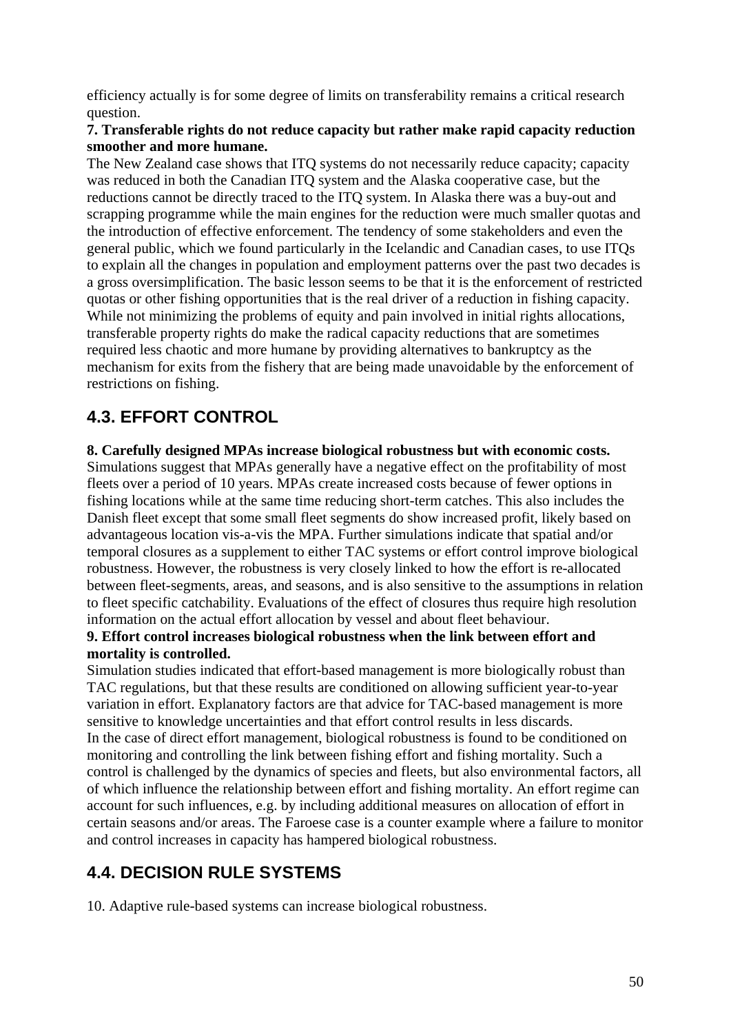efficiency actually is for some degree of limits on transferability remains a critical research question.

#### **7. Transferable rights do not reduce capacity but rather make rapid capacity reduction smoother and more humane.**

The New Zealand case shows that ITQ systems do not necessarily reduce capacity; capacity was reduced in both the Canadian ITQ system and the Alaska cooperative case, but the reductions cannot be directly traced to the ITQ system. In Alaska there was a buy-out and scrapping programme while the main engines for the reduction were much smaller quotas and the introduction of effective enforcement. The tendency of some stakeholders and even the general public, which we found particularly in the Icelandic and Canadian cases, to use ITQs to explain all the changes in population and employment patterns over the past two decades is a gross oversimplification. The basic lesson seems to be that it is the enforcement of restricted quotas or other fishing opportunities that is the real driver of a reduction in fishing capacity. While not minimizing the problems of equity and pain involved in initial rights allocations, transferable property rights do make the radical capacity reductions that are sometimes required less chaotic and more humane by providing alternatives to bankruptcy as the mechanism for exits from the fishery that are being made unavoidable by the enforcement of restrictions on fishing.

# **4.3. EFFORT CONTROL**

**8. Carefully designed MPAs increase biological robustness but with economic costs.**  Simulations suggest that MPAs generally have a negative effect on the profitability of most fleets over a period of 10 years. MPAs create increased costs because of fewer options in fishing locations while at the same time reducing short-term catches. This also includes the Danish fleet except that some small fleet segments do show increased profit, likely based on advantageous location vis-a-vis the MPA. Further simulations indicate that spatial and/or temporal closures as a supplement to either TAC systems or effort control improve biological robustness. However, the robustness is very closely linked to how the effort is re-allocated between fleet-segments, areas, and seasons, and is also sensitive to the assumptions in relation to fleet specific catchability. Evaluations of the effect of closures thus require high resolution information on the actual effort allocation by vessel and about fleet behaviour.

#### **9. Effort control increases biological robustness when the link between effort and mortality is controlled.**

Simulation studies indicated that effort-based management is more biologically robust than TAC regulations, but that these results are conditioned on allowing sufficient year-to-year variation in effort. Explanatory factors are that advice for TAC-based management is more sensitive to knowledge uncertainties and that effort control results in less discards. In the case of direct effort management, biological robustness is found to be conditioned on monitoring and controlling the link between fishing effort and fishing mortality. Such a control is challenged by the dynamics of species and fleets, but also environmental factors, all of which influence the relationship between effort and fishing mortality. An effort regime can account for such influences, e.g. by including additional measures on allocation of effort in certain seasons and/or areas. The Faroese case is a counter example where a failure to monitor and control increases in capacity has hampered biological robustness.

# **4.4. DECISION RULE SYSTEMS**

10. Adaptive rule-based systems can increase biological robustness.